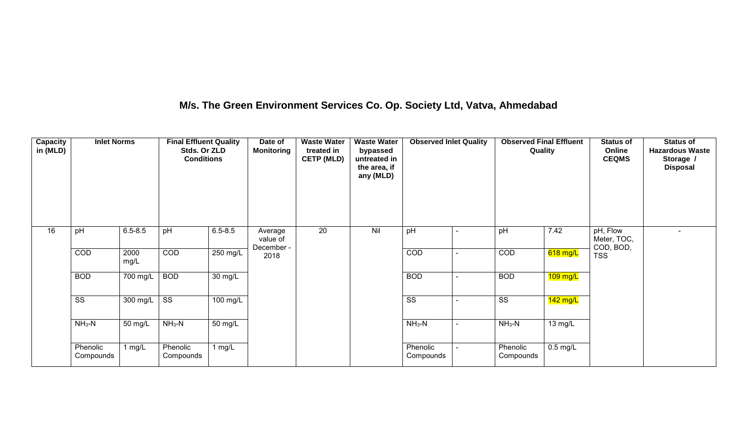## **M/s. The Green Environment Services Co. Op. Society Ltd, Vatva, Ahmedabad**

| <b>Capacity</b><br>in (MLD) | <b>Inlet Norms</b>     |                                  | <b>Final Effluent Quality</b><br>Stds. Or ZLD<br><b>Conditions</b> |             | Date of<br><b>Monitoring</b>      | <b>Waste Water</b><br>treated in<br><b>CETP (MLD)</b> | <b>Waste Water</b><br>bypassed<br>untreated in<br>the area, if<br>any (MLD) | <b>Observed Inlet Quality</b> |                          | <b>Observed Final Effluent</b><br>Quality |            | <b>Status of</b><br>Online<br><b>CEQMS</b> | <b>Status of</b><br><b>Hazardous Waste</b><br>Storage /<br><b>Disposal</b> |
|-----------------------------|------------------------|----------------------------------|--------------------------------------------------------------------|-------------|-----------------------------------|-------------------------------------------------------|-----------------------------------------------------------------------------|-------------------------------|--------------------------|-------------------------------------------|------------|--------------------------------------------|----------------------------------------------------------------------------|
| 16                          | pH                     | $6.5 - 8.5$                      | pH                                                                 | $6.5 - 8.5$ | Average<br>value of<br>December - | 20                                                    | Nil                                                                         | pH                            |                          | pH                                        | 7.42       | pH, Flow<br>Meter, TOC,<br>COD, BOD,       | $\blacksquare$                                                             |
|                             | COD                    | 2000<br>mg/L                     | COD                                                                | 250 mg/L    | 2018                              |                                                       |                                                                             | COD                           |                          | COD                                       | $618$ mg/L | <b>TSS</b>                                 |                                                                            |
|                             | <b>BOD</b>             | $700 \overline{\text{mg/L}}$ BOD |                                                                    | 30 mg/L     |                                   |                                                       |                                                                             | <b>BOD</b>                    |                          | <b>BOD</b>                                | $109$ mg/L |                                            |                                                                            |
|                             | $\overline{\text{ss}}$ | $300$ mg/L                       | $\overline{\text{ss}}$                                             | $100$ mg/L  |                                   |                                                       |                                                                             | $\overline{\text{ss}}$        |                          | $\overline{\text{SS}}$                    | $142$ mg/L |                                            |                                                                            |
|                             | $NH3-N$                | 50 mg/L                          | $NH3-N$                                                            | 50 mg/L     |                                   |                                                       |                                                                             | $NH3-N$                       | $\overline{\phantom{0}}$ | $NH3-N$                                   | 13 mg/L    |                                            |                                                                            |
|                             | Phenolic<br>Compounds  | 1 $mg/L$                         | Phenolic<br>Compounds                                              | 1 mg/ $L$   |                                   |                                                       |                                                                             | Phenolic<br>Compounds         |                          | Phenolic<br>Compounds                     | $0.5$ mg/L |                                            |                                                                            |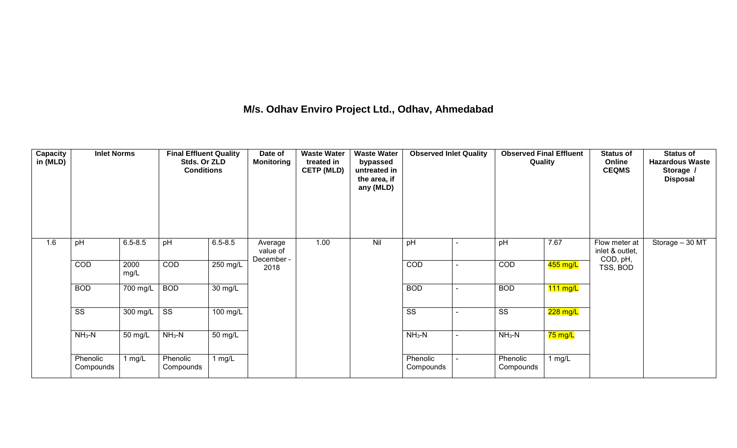## **M/s. Odhav Enviro Project Ltd., Odhav, Ahmedabad**

| <b>Capacity</b><br>in (MLD) | <b>Inlet Norms</b>     |                    | <b>Final Effluent Quality</b><br>Stds. Or ZLD<br><b>Conditions</b> |                      | Date of<br><b>Monitoring</b>      | <b>Waste Water</b><br>treated in<br><b>CETP (MLD)</b> | <b>Waste Water</b><br>bypassed<br>untreated in<br>the area, if<br>any (MLD) | <b>Observed Inlet Quality</b> |        | <b>Observed Final Effluent</b><br>Quality |                      | <b>Status of</b><br>Online<br><b>CEQMS</b>   | <b>Status of</b><br><b>Hazardous Waste</b><br>Storage /<br><b>Disposal</b> |
|-----------------------------|------------------------|--------------------|--------------------------------------------------------------------|----------------------|-----------------------------------|-------------------------------------------------------|-----------------------------------------------------------------------------|-------------------------------|--------|-------------------------------------------|----------------------|----------------------------------------------|----------------------------------------------------------------------------|
| 1.6                         | pH                     | $6.5 - 8.5$        | pH                                                                 | $6.5 - 8.5$          | Average<br>value of<br>December - | 1.00                                                  | Nil                                                                         | pH                            |        | pH                                        | 7.67                 | Flow meter at<br>inlet & outlet,<br>COD, pH, | Storage - 30 MT                                                            |
|                             | COD                    | 2000<br>mg/L       | COD                                                                | 250 mg/L             | 2018                              |                                                       |                                                                             | COD                           |        | COD                                       | 455 mg/L             | TSS, BOD                                     |                                                                            |
|                             | <b>BOD</b>             | 700 mg/L           | <b>BOD</b>                                                         | 30 mg/L              |                                   |                                                       |                                                                             | <b>BOD</b>                    |        | <b>BOD</b>                                | $111$ mg/L           |                                              |                                                                            |
|                             | $\overline{\text{ss}}$ | $300 \text{ mg/L}$ | $\overline{\text{ss}}$                                             | $100 \text{ mg/L}$   |                                   |                                                       |                                                                             | $\overline{\text{ss}}$        |        | $\overline{\text{ss}}$                    | 228 mg/L             |                                              |                                                                            |
|                             | $NH3-N$                | 50 mg/L            | $NH3-N$                                                            | $\overline{50}$ mg/L |                                   |                                                       |                                                                             | $NH3-N$                       |        | $NH3-N$                                   | <mark>75 mg/L</mark> |                                              |                                                                            |
|                             | Phenolic<br>Compounds  | 1 mg/L             | Phenolic<br>Compounds                                              | 1 $mg/L$             |                                   |                                                       |                                                                             | Phenolic<br>Compounds         | $\sim$ | Phenolic<br>Compounds                     | 1 mg/L               |                                              |                                                                            |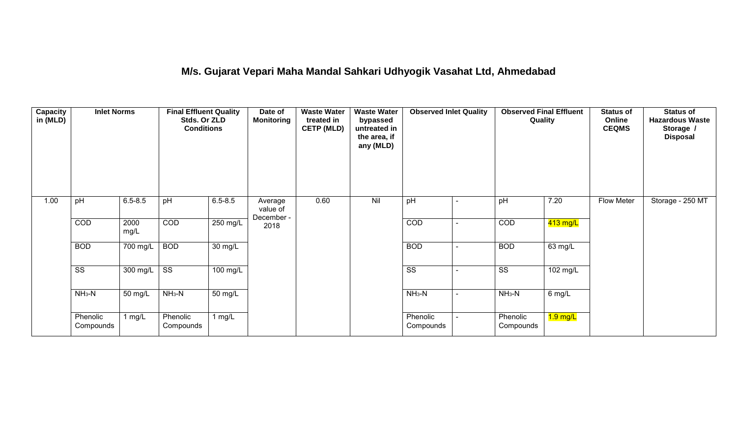## **M/s. Gujarat Vepari Maha Mandal Sahkari Udhyogik Vasahat Ltd, Ahmedabad**

| Capacity<br>in (MLD) | <b>Inlet Norms</b>     |                       | <b>Final Effluent Quality</b><br>Stds. Or ZLD<br><b>Conditions</b> |                      | Date of<br><b>Monitoring</b>      | <b>Waste Water</b><br>treated in<br><b>CETP (MLD)</b> | <b>Waste Water</b><br>bypassed<br>untreated in<br>the area, if<br>any (MLD) | <b>Observed Inlet Quality</b> |                | <b>Observed Final Effluent</b><br>Quality |            | <b>Status of</b><br>Online<br><b>CEQMS</b> | <b>Status of</b><br><b>Hazardous Waste</b><br>Storage /<br><b>Disposal</b> |
|----------------------|------------------------|-----------------------|--------------------------------------------------------------------|----------------------|-----------------------------------|-------------------------------------------------------|-----------------------------------------------------------------------------|-------------------------------|----------------|-------------------------------------------|------------|--------------------------------------------|----------------------------------------------------------------------------|
| 1.00                 | pH                     | $6.5 - 8.5$           | pH                                                                 | $6.5 - 8.5$          | Average<br>value of<br>December - | 0.60                                                  | Nil                                                                         | pH                            | $\blacksquare$ | pH                                        | 7.20       | Flow Meter                                 | Storage - 250 MT                                                           |
|                      | COD                    | 2000<br>mg/L          | COD                                                                | 250 mg/L             | 2018                              |                                                       |                                                                             | COD                           |                | COD                                       | $413$ mg/L |                                            |                                                                            |
|                      | <b>BOD</b>             | $\overline{700}$ mg/L | <b>BOD</b>                                                         | 30 mg/L              |                                   |                                                       |                                                                             | <b>BOD</b>                    | ٠              | <b>BOD</b>                                | 63 mg/L    |                                            |                                                                            |
|                      | $\overline{\text{ss}}$ | $300$ mg/L            | $\overline{\text{ss}}$                                             | $100 \text{ mg/L}$   |                                   |                                                       |                                                                             | $\overline{\text{ss}}$        |                | $\overline{\text{ss}}$                    | 102 mg/L   |                                            |                                                                            |
|                      | $NH3-N$                | 50 mg/L               | $NH3-N$                                                            | $\overline{50}$ mg/L |                                   |                                                       |                                                                             | $NH3-N$                       | $\blacksquare$ | $NH3-N$                                   | $6$ mg/L   |                                            |                                                                            |
|                      | Phenolic<br>Compounds  | 1 mg/L                | Phenolic<br>Compounds                                              | 1 mg/L               |                                   |                                                       |                                                                             | Phenolic<br>Compounds         |                | Phenolic<br>Compounds                     | $1.9$ mg/L |                                            |                                                                            |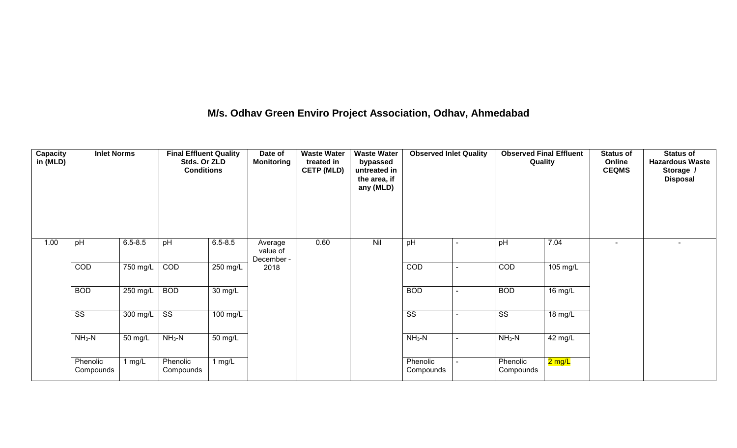## **M/s. Odhav Green Enviro Project Association, Odhav, Ahmedabad**

| Capacity<br>in (MLD) | <b>Inlet Norms</b>     |             | <b>Final Effluent Quality</b><br>Stds. Or ZLD<br><b>Conditions</b> |                      | Date of<br><b>Monitoring</b>      | <b>Waste Water</b><br>treated in<br><b>CETP (MLD)</b> | <b>Waste Water</b><br>bypassed<br>untreated in<br>the area, if<br>any (MLD) | <b>Observed Inlet Quality</b> | <b>Observed Final Effluent</b><br>Quality |                      | <b>Status of</b><br>Online<br><b>CEQMS</b> | <b>Status of</b><br><b>Hazardous Waste</b><br>Storage /<br><b>Disposal</b> |
|----------------------|------------------------|-------------|--------------------------------------------------------------------|----------------------|-----------------------------------|-------------------------------------------------------|-----------------------------------------------------------------------------|-------------------------------|-------------------------------------------|----------------------|--------------------------------------------|----------------------------------------------------------------------------|
| 1.00                 | pH                     | $6.5 - 8.5$ | pH                                                                 | $6.5 - 8.5$          | Average<br>value of<br>December - | 0.60                                                  | Nil                                                                         | pH                            | pH                                        | 7.04                 | $\blacksquare$                             | $\blacksquare$                                                             |
|                      | COD                    | 750 mg/L    | COD                                                                | $250$ mg/L           | 2018                              |                                                       |                                                                             | COD                           | COD                                       | 105 mg/L             |                                            |                                                                            |
|                      | <b>BOD</b>             | 250 mg/L    | <b>BOD</b>                                                         | 30 mg/L              |                                   |                                                       |                                                                             | <b>BOD</b>                    | <b>BOD</b>                                | $\overline{16}$ mg/L |                                            |                                                                            |
|                      | $\overline{\text{ss}}$ | 300 mg/L    | $\overline{\text{ss}}$                                             | 100 mg/L             |                                   |                                                       |                                                                             | $\overline{\text{ss}}$        | $\overline{\text{ss}}$                    | 18 mg/L              |                                            |                                                                            |
|                      | $NH3-N$                | 50 mg/L     | $NH3-N$                                                            | $\overline{50}$ mg/L |                                   |                                                       |                                                                             | $NH3-N$                       | $NH_3-N$                                  | 42 mg/L              |                                            |                                                                            |
|                      | Phenolic<br>Compounds  | 1 mg/L      | Phenolic<br>Compounds                                              | $1$ mg/L             |                                   |                                                       |                                                                             | Phenolic<br>Compounds         | Phenolic<br>Compounds                     | <mark>2 mg/L</mark>  |                                            |                                                                            |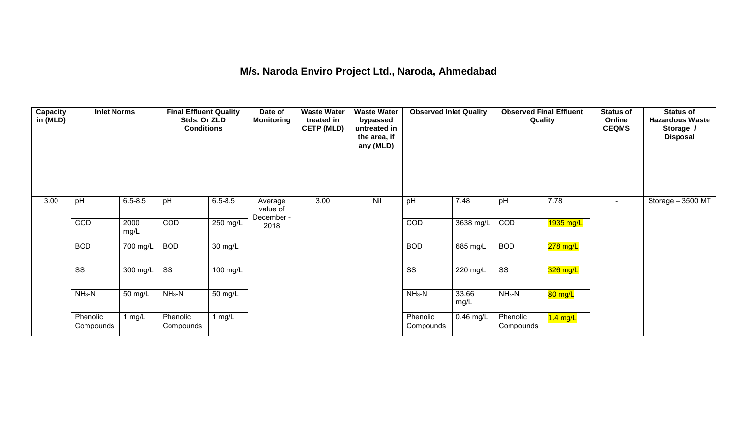## **M/s. Naroda Enviro Project Ltd., Naroda, Ahmedabad**

| <b>Capacity</b><br>in (MLD) | <b>Inlet Norms</b>     |              | <b>Final Effluent Quality</b><br>Stds. Or ZLD<br><b>Conditions</b> |             | Date of<br><b>Monitoring</b>      | <b>Waste Water</b><br>treated in<br><b>CETP (MLD)</b> | <b>Waste Water</b><br>bypassed<br>untreated in<br>the area, if<br>any (MLD) | <b>Observed Inlet Quality</b> |                    | <b>Observed Final Effluent</b><br>Quality |             | <b>Status of</b><br>Online<br><b>CEQMS</b> | <b>Status of</b><br><b>Hazardous Waste</b><br>Storage /<br><b>Disposal</b> |
|-----------------------------|------------------------|--------------|--------------------------------------------------------------------|-------------|-----------------------------------|-------------------------------------------------------|-----------------------------------------------------------------------------|-------------------------------|--------------------|-------------------------------------------|-------------|--------------------------------------------|----------------------------------------------------------------------------|
| 3.00                        | pH                     | $6.5 - 8.5$  | pH                                                                 | $6.5 - 8.5$ | Average<br>value of<br>December - | 3.00                                                  | Nil                                                                         | pH                            | 7.48               | pH                                        | 7.78        | $\sim$                                     | Storage $-3500$ MT                                                         |
|                             | COD                    | 2000<br>mg/L | COD                                                                | 250 mg/L    | 2018                              |                                                       |                                                                             | COD                           | 3638 mg/L          | COD                                       | $1935$ mg/L |                                            |                                                                            |
|                             | <b>BOD</b>             | 700 mg/L     | <b>BOD</b>                                                         | 30 mg/L     |                                   |                                                       |                                                                             | <b>BOD</b>                    | 685 mg/L           | <b>BOD</b>                                | $278$ mg/L  |                                            |                                                                            |
|                             | $\overline{\text{ss}}$ | 300 mg/L     | $\overline{\text{ss}}$                                             | $100$ mg/L  |                                   |                                                       |                                                                             | $\overline{\text{ss}}$        | $220 \text{ mg/L}$ | $\overline{\text{ss}}$                    | 326 mg/L    |                                            |                                                                            |
|                             | $NH3-N$                | 50 mg/L      | $NH3-N$                                                            | 50 mg/L     |                                   |                                                       |                                                                             | $NH3-N$                       | 33.66<br>mg/L      | $NH3-N$                                   | 80 mg/L     |                                            |                                                                            |
|                             | Phenolic<br>Compounds  | 1 mg/L       | Phenolic<br>Compounds                                              | 1 $mg/L$    |                                   |                                                       |                                                                             | Phenolic<br>Compounds         | $0.46$ mg/L        | Phenolic<br>Compounds                     | $1.4$ mg/L  |                                            |                                                                            |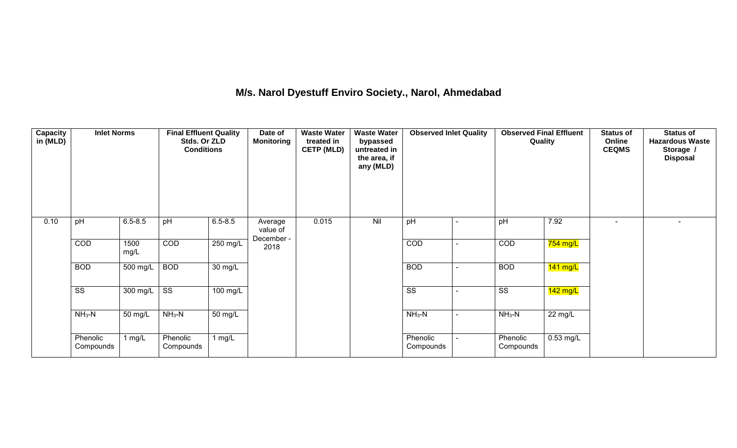## **M/s. Narol Dyestuff Enviro Society., Narol, Ahmedabad**

| <b>Capacity</b><br>in (MLD) | <b>Inlet Norms</b>     |                    | <b>Final Effluent Quality</b><br>Stds. Or ZLD<br><b>Conditions</b> |                      | Date of<br><b>Monitoring</b>      | <b>Waste Water</b><br>treated in<br><b>CETP (MLD)</b> | <b>Waste Water</b><br>bypassed<br>untreated in<br>the area, if<br>any (MLD) | <b>Observed Inlet Quality</b> | <b>Observed Final Effluent</b><br>Quality |                   | <b>Status of</b><br>Online<br><b>CEQMS</b> | <b>Status of</b><br><b>Hazardous Waste</b><br>Storage /<br><b>Disposal</b> |
|-----------------------------|------------------------|--------------------|--------------------------------------------------------------------|----------------------|-----------------------------------|-------------------------------------------------------|-----------------------------------------------------------------------------|-------------------------------|-------------------------------------------|-------------------|--------------------------------------------|----------------------------------------------------------------------------|
| 0.10                        | pH                     | $6.5 - 8.5$        | pH                                                                 | $6.5 - 8.5$          | Average<br>value of<br>December - | 0.015                                                 | Nil                                                                         | pH                            | pH                                        | 7.92              | $\blacksquare$                             | $\sim$                                                                     |
|                             | COD                    | 1500<br>mg/L       | COD                                                                | 250 mg/L             | 2018                              |                                                       |                                                                             | COD                           | COD                                       | 754 mg/L          |                                            |                                                                            |
|                             | <b>BOD</b>             | 500 mg/L           | <b>BOD</b>                                                         | $\overline{30}$ mg/L |                                   |                                                       |                                                                             | <b>BOD</b>                    | <b>BOD</b>                                | $141$ mg/L        |                                            |                                                                            |
|                             | $\overline{\text{ss}}$ | $300 \text{ mg/L}$ | $\overline{\text{ss}}$                                             | 100 mg/L             |                                   |                                                       |                                                                             | $\overline{\text{ss}}$        | $\overline{\text{ss}}$                    | $142$ mg/L        |                                            |                                                                            |
|                             | $NH3-N$                | 50 mg/L            | $NH3-N$                                                            | $\overline{50}$ mg/L |                                   |                                                       |                                                                             | $NH3-N$                       | $NH3-N$                                   | $22 \text{ mg/L}$ |                                            |                                                                            |
|                             | Phenolic<br>Compounds  | 1 $mg/L$           | Phenolic<br>Compounds                                              | 1 $mg/L$             |                                   |                                                       |                                                                             | Phenolic<br>Compounds         | Phenolic<br>Compounds                     | $0.53$ mg/L       |                                            |                                                                            |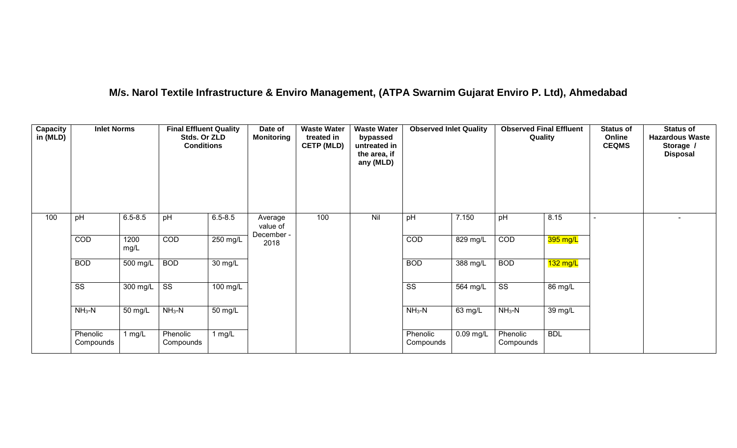## **M/s. Narol Textile Infrastructure & Enviro Management, (ATPA Swarnim Gujarat Enviro P. Ltd), Ahmedabad**

| Capacity<br>in (MLD) | <b>Inlet Norms</b>     |                       | <b>Final Effluent Quality</b><br>Stds. Or ZLD<br><b>Conditions</b> |                      | Date of<br><b>Monitoring</b>      | <b>Waste Water</b><br>treated in<br><b>CETP (MLD)</b> | <b>Waste Water</b><br>bypassed<br>untreated in<br>the area, if<br>any (MLD) | <b>Observed Inlet Quality</b> |             | <b>Observed Final Effluent</b><br>Quality |            | <b>Status of</b><br>Online<br><b>CEQMS</b> | <b>Status of</b><br><b>Hazardous Waste</b><br>Storage /<br><b>Disposal</b> |
|----------------------|------------------------|-----------------------|--------------------------------------------------------------------|----------------------|-----------------------------------|-------------------------------------------------------|-----------------------------------------------------------------------------|-------------------------------|-------------|-------------------------------------------|------------|--------------------------------------------|----------------------------------------------------------------------------|
| 100                  | pH                     | $6.5 - 8.5$           | pH                                                                 | $6.5 - 8.5$          | Average<br>value of<br>December - | 100                                                   | Nil                                                                         | pH                            | 7.150       | pH                                        | 8.15       |                                            | $\overline{\phantom{0}}$                                                   |
|                      | COD                    | 1200<br>mg/L          | COD                                                                | 250 mg/L             | 2018                              |                                                       |                                                                             | COD                           | $829$ mg/L  | COD                                       | $395$ mg/L |                                            |                                                                            |
|                      | <b>BOD</b>             | 500 mg/L              | <b>BOD</b>                                                         | $\overline{30}$ mg/L |                                   |                                                       |                                                                             | <b>BOD</b>                    | 388 mg/L    | <b>BOD</b>                                | $132$ mg/L |                                            |                                                                            |
|                      | $\overline{\text{ss}}$ | $\overline{300}$ mg/L | $\overline{\text{ss}}$                                             | $100$ mg/L           |                                   |                                                       |                                                                             | $\overline{\text{ss}}$        | $564$ mg/L  | $\overline{\text{ss}}$                    | 86 mg/L    |                                            |                                                                            |
|                      | $NH3-N$                | 50 mg/L               | $NH3-N$                                                            | 50 mg/L              |                                   |                                                       |                                                                             | $NH3-N$                       | 63 mg/L     | $NH_3-N$                                  | 39 mg/L    |                                            |                                                                            |
|                      | Phenolic<br>Compounds  | 1 mg/L                | Phenolic<br>Compounds                                              | 1 $mg/L$             |                                   |                                                       |                                                                             | Phenolic<br>Compounds         | $0.09$ mg/L | Phenolic<br>Compounds                     | <b>BDL</b> |                                            |                                                                            |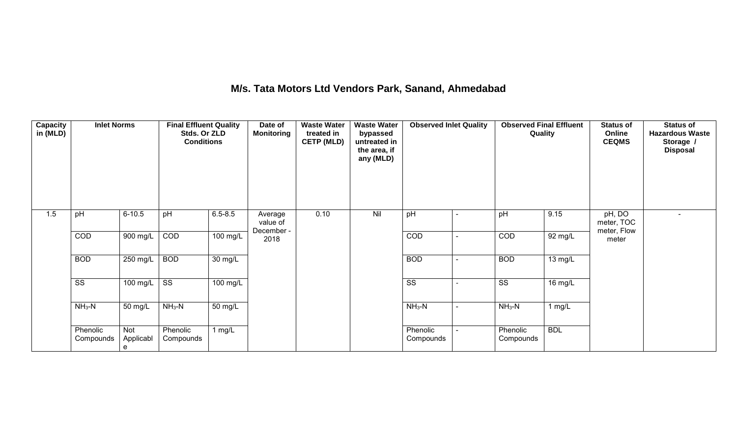## **M/s. Tata Motors Ltd Vendors Park, Sanand, Ahmedabad**

| <b>Capacity</b><br>in (MLD) | <b>Inlet Norms</b>     |                       | <b>Final Effluent Quality</b><br>Stds. Or ZLD<br><b>Conditions</b> |                       | Date of<br><b>Monitoring</b>      | <b>Waste Water</b><br>treated in<br><b>CETP (MLD)</b> | <b>Waste Water</b><br>bypassed<br>untreated in<br>the area, if<br>any (MLD) | <b>Observed Inlet Quality</b> | <b>Observed Final Effluent</b><br>Quality |                      | <b>Status of</b><br>Online<br><b>CEQMS</b> | <b>Status of</b><br><b>Hazardous Waste</b><br>Storage /<br><b>Disposal</b> |
|-----------------------------|------------------------|-----------------------|--------------------------------------------------------------------|-----------------------|-----------------------------------|-------------------------------------------------------|-----------------------------------------------------------------------------|-------------------------------|-------------------------------------------|----------------------|--------------------------------------------|----------------------------------------------------------------------------|
| 1.5                         | pH                     | $6 - 10.5$            | pH                                                                 | $6.5 - 8.5$           | Average<br>value of<br>December - | 0.10                                                  | Nil                                                                         | pH                            | pH                                        | 9.15                 | pH, DO<br>meter, TOC<br>meter, Flow        |                                                                            |
|                             | COD                    | 900 mg/L              | COD                                                                | $100$ mg/L            | 2018                              |                                                       |                                                                             | COD                           | COD                                       | 92 mg/L              | meter                                      |                                                                            |
|                             | <b>BOD</b>             | 250 mg/L              | <b>BOD</b>                                                         | $30 \text{ mg/L}$     |                                   |                                                       |                                                                             | <b>BOD</b>                    | <b>BOD</b>                                | $13 \text{ mg/L}$    |                                            |                                                                            |
|                             | $\overline{\text{ss}}$ | $100$ mg/L            | $\overline{\text{ss}}$                                             | $\overline{100}$ mg/L |                                   |                                                       |                                                                             | $\overline{\text{ss}}$        | $\overline{\text{SS}}$                    | $16 \,\mathrm{mg/L}$ |                                            |                                                                            |
|                             | $NH3-N$                | 50 mg/L               | $NH3-N$                                                            | 50 mg/L               |                                   |                                                       |                                                                             | $NH3-N$                       | $NH3-N$                                   | 1 mg/L               |                                            |                                                                            |
|                             | Phenolic<br>Compounds  | Not<br>Applicabl<br>e | Phenolic<br>Compounds                                              | 1 $mg/L$              |                                   |                                                       |                                                                             | Phenolic<br>Compounds         | Phenolic<br>Compounds                     | <b>BDL</b>           |                                            |                                                                            |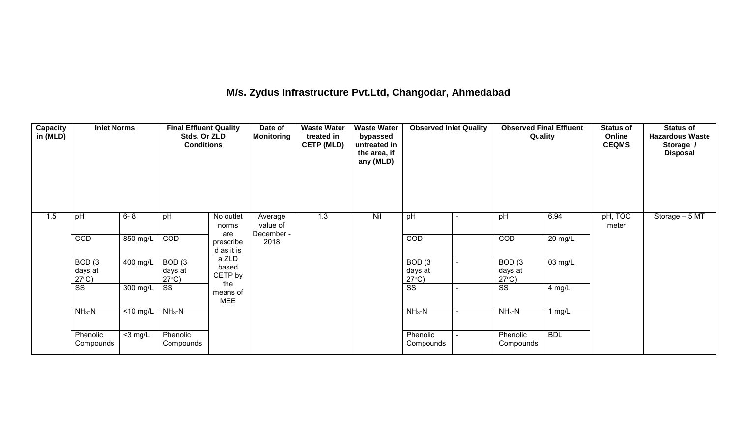## **M/s. Zydus Infrastructure Pvt.Ltd, Changodar, Ahmedabad**

| <b>Capacity</b><br>in (MLD) | <b>Inlet Norms</b>                              |                      | <b>Final Effluent Quality</b><br>Stds. Or ZLD<br><b>Conditions</b> |                               | Date of<br><b>Monitoring</b>      | <b>Waste Water</b><br>treated in<br><b>CETP (MLD)</b> | <b>Waste Water</b><br>bypassed<br>untreated in<br>the area, if<br>any (MLD) | <b>Observed Inlet Quality</b>        |   | <b>Observed Final Effluent</b><br>Quality |            | <b>Status of</b><br>Online<br><b>CEQMS</b> | <b>Status of</b><br><b>Hazardous Waste</b><br>Storage /<br><b>Disposal</b> |
|-----------------------------|-------------------------------------------------|----------------------|--------------------------------------------------------------------|-------------------------------|-----------------------------------|-------------------------------------------------------|-----------------------------------------------------------------------------|--------------------------------------|---|-------------------------------------------|------------|--------------------------------------------|----------------------------------------------------------------------------|
| 1.5                         | pH                                              | $6 - 8$              | pH                                                                 | No outlet<br>norms<br>are     | Average<br>value of<br>December - | 1.3                                                   | Nil                                                                         | pH                                   | ÷ | pH                                        | 6.94       | pH, TOC<br>meter                           | Storage $-5\overline{MT}$                                                  |
|                             | COD                                             | 850 mg/L             | COD                                                                | prescribe<br>d as it is       | 2018                              |                                                       |                                                                             | COD                                  | ÷ | COD                                       | 20 mg/L    |                                            |                                                                            |
|                             | BOD <sub>(3</sub><br>days at<br>$27^{\circ}C$ ) | 400 mg/L             | BOD(3)<br>days at<br>$27^{\circ}C$ )                               | a ZLD<br>based<br>CETP by     |                                   |                                                       |                                                                             | BOD(3)<br>days at<br>$27^{\circ}C$ ) | ٠ | BOD(3)<br>days at<br>$27^{\circ}$ C)      | 03 mg/L    |                                            |                                                                            |
|                             | SS                                              | 300 mg/L             | SS                                                                 | the<br>means of<br><b>MEE</b> |                                   |                                                       |                                                                             | SS                                   |   | SS                                        | 4 mg/L     |                                            |                                                                            |
|                             | $NH3-N$                                         | $\overline{10}$ mg/L | $NH3-N$                                                            |                               |                                   |                                                       |                                                                             | $NH_3-N$                             | ÷ | $NH3-N$                                   | 1 mg/L     |                                            |                                                                            |
|                             | Phenolic<br>Compounds                           | $<$ 3 mg/L           | Phenolic<br>Compounds                                              |                               |                                   |                                                       |                                                                             | Phenolic<br>Compounds                |   | Phenolic<br>Compounds                     | <b>BDL</b> |                                            |                                                                            |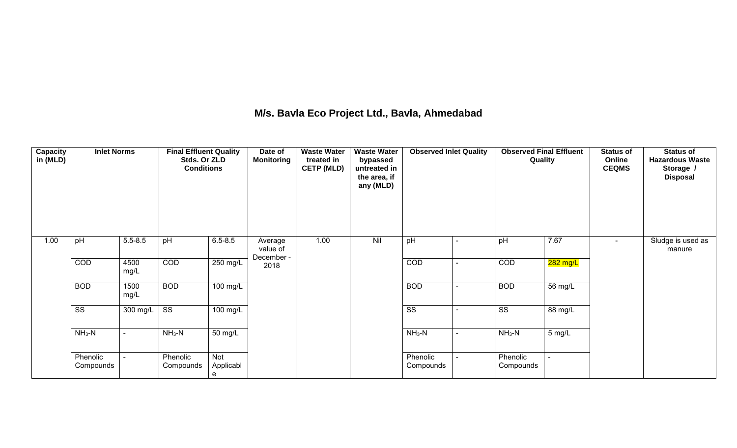## **M/s. Bavla Eco Project Ltd., Bavla, Ahmedabad**

| Capacity<br>in (MLD) | <b>Inlet Norms</b>     |              | <b>Final Effluent Quality</b><br>Stds. Or ZLD<br><b>Conditions</b> |                       | Date of<br><b>Monitoring</b> | <b>Waste Water</b><br>treated in<br><b>CETP (MLD)</b> | <b>Waste Water</b><br>bypassed<br>untreated in<br>the area, if<br>any (MLD) | <b>Observed Inlet Quality</b> | <b>Observed Final Effluent</b><br>Quality |                   | <b>Status of</b><br>Online<br><b>CEQMS</b> | <b>Status of</b><br><b>Hazardous Waste</b><br>Storage /<br><b>Disposal</b> |
|----------------------|------------------------|--------------|--------------------------------------------------------------------|-----------------------|------------------------------|-------------------------------------------------------|-----------------------------------------------------------------------------|-------------------------------|-------------------------------------------|-------------------|--------------------------------------------|----------------------------------------------------------------------------|
| 1.00                 | pH                     | $5.5 - 8.5$  | pH                                                                 | $6.5 - 8.5$           | Average<br>value of          | 1.00                                                  | Nil                                                                         | pH                            | pH                                        | 7.67              | $\blacksquare$                             | Sludge is used as<br>manure                                                |
|                      | <b>COD</b>             | 4500<br>mg/L | COD                                                                | 250 mg/L              | December -<br>2018           |                                                       |                                                                             | COD                           | <b>COD</b>                                | 282 mg/L          |                                            |                                                                            |
|                      | <b>BOD</b>             | 1500<br>mg/L | <b>BOD</b>                                                         | 100 mg/L              |                              |                                                       |                                                                             | <b>BOD</b>                    | <b>BOD</b>                                | 56 mg/L           |                                            |                                                                            |
|                      | $\overline{\text{SS}}$ | 300 mg/L     | $\overline{\text{SS}}$                                             | 100 mg/L              |                              |                                                       |                                                                             | $\overline{\text{ss}}$        | $\overline{\text{SS}}$                    | $88 \text{ mg/L}$ |                                            |                                                                            |
|                      | $NH3-N$                |              | $NH3-N$                                                            | 50 mg/L               |                              |                                                       |                                                                             | $NH_3-N$                      | $NH_3-N$                                  | 5 mg/L            |                                            |                                                                            |
|                      | Phenolic<br>Compounds  |              | Phenolic<br>Compounds                                              | Not<br>Applicabl<br>e |                              |                                                       |                                                                             | Phenolic<br>Compounds         | Phenolic<br>Compounds                     |                   |                                            |                                                                            |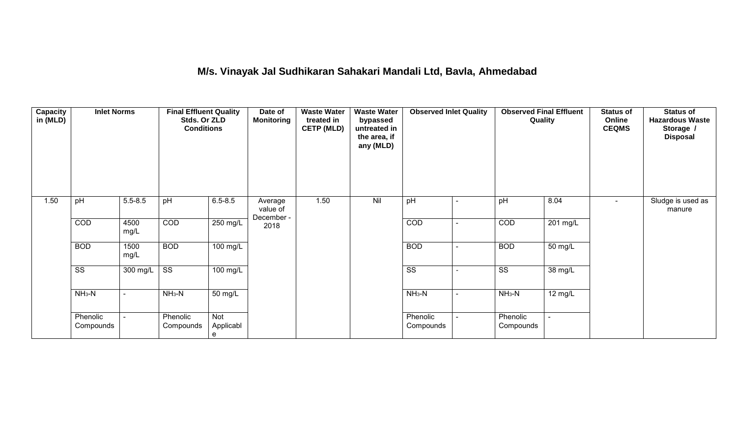## **M/s. Vinayak Jal Sudhikaran Sahakari Mandali Ltd, Bavla, Ahmedabad**

| Capacity<br>in (MLD) | <b>Inlet Norms</b>     |              | <b>Final Effluent Quality</b><br>Stds. Or ZLD<br><b>Conditions</b> |                       | Date of<br><b>Monitoring</b>      | <b>Waste Water</b><br>treated in<br><b>CETP (MLD)</b> | <b>Waste Water</b><br>bypassed<br>untreated in<br>the area, if<br>any (MLD) | <b>Observed Inlet Quality</b> |                | <b>Observed Final Effluent</b><br>Quality |                      | <b>Status of</b><br>Online<br><b>CEQMS</b> | <b>Status of</b><br><b>Hazardous Waste</b><br>Storage /<br><b>Disposal</b> |
|----------------------|------------------------|--------------|--------------------------------------------------------------------|-----------------------|-----------------------------------|-------------------------------------------------------|-----------------------------------------------------------------------------|-------------------------------|----------------|-------------------------------------------|----------------------|--------------------------------------------|----------------------------------------------------------------------------|
| 1.50                 | pH                     | $5.5 - 8.5$  | pH                                                                 | $6.5 - 8.5$           | Average<br>value of<br>December - | 1.50                                                  | Nil                                                                         | pH                            | ۰              | pH                                        | 8.04                 | $\blacksquare$                             | Sludge is used as<br>manure                                                |
|                      | <b>COD</b>             | 4500<br>mg/L | COD                                                                | $250$ mg/L            | 2018                              |                                                       |                                                                             | COD                           | $\blacksquare$ | COD                                       | 201 mg/L             |                                            |                                                                            |
|                      | <b>BOD</b>             | 1500<br>mg/L | <b>BOD</b>                                                         | 100 mg/L              |                                   |                                                       |                                                                             | <b>BOD</b>                    | $\blacksquare$ | <b>BOD</b>                                | 50 mg/L              |                                            |                                                                            |
|                      | $\overline{\text{ss}}$ | $300$ mg/L   | $\overline{\text{ss}}$                                             | $\overline{100}$ mg/L |                                   |                                                       |                                                                             | $\overline{\text{ss}}$        | $\overline{a}$ | $\overline{\text{ss}}$                    | $\overline{38}$ mg/L |                                            |                                                                            |
|                      | $NH3-N$                |              | $NH3-N$                                                            | $\overline{50}$ mg/L  |                                   |                                                       |                                                                             | $NH_3-N$                      | $\blacksquare$ | $NH3-N$                                   | 12 mg/L              |                                            |                                                                            |
|                      | Phenolic<br>Compounds  |              | Phenolic<br>Compounds                                              | Not<br>Applicabl<br>e |                                   |                                                       |                                                                             | Phenolic<br>Compounds         |                | Phenolic<br>Compounds                     |                      |                                            |                                                                            |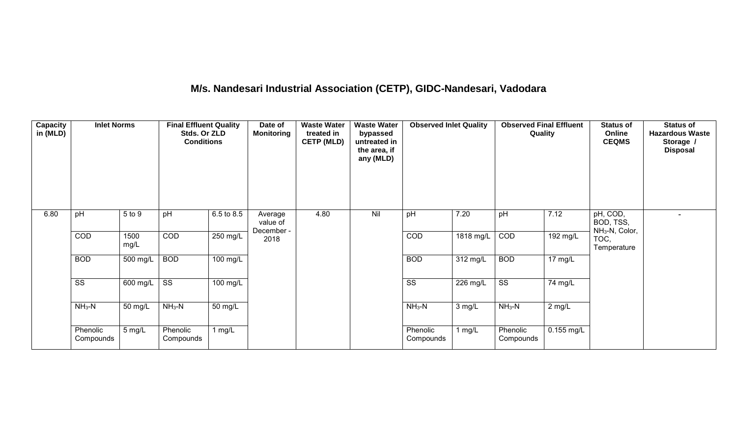# **M/s. Nandesari Industrial Association (CETP), GIDC-Nandesari, Vadodara**

| <b>Capacity</b><br>in (MLD) | <b>Inlet Norms</b>     |              | <b>Final Effluent Quality</b><br>Stds. Or ZLD<br><b>Conditions</b> |                       | Date of<br><b>Monitoring</b>      | <b>Waste Water</b><br>treated in<br><b>CETP (MLD)</b> | <b>Waste Water</b><br>bypassed<br>untreated in<br>the area, if<br>any (MLD) | <b>Observed Inlet Quality</b> |                    | <b>Observed Final Effluent</b><br>Quality |                   | <b>Status of</b><br>Online<br><b>CEQMS</b>          | <b>Status of</b><br><b>Hazardous Waste</b><br>Storage /<br><b>Disposal</b> |
|-----------------------------|------------------------|--------------|--------------------------------------------------------------------|-----------------------|-----------------------------------|-------------------------------------------------------|-----------------------------------------------------------------------------|-------------------------------|--------------------|-------------------------------------------|-------------------|-----------------------------------------------------|----------------------------------------------------------------------------|
| 6.80                        | pH                     | 5 to 9       | pH                                                                 | 6.5 to 8.5            | Average<br>value of<br>December - | 4.80                                                  | Nil                                                                         | pH                            | 7.20               | pH                                        | 7.12              | pH, COD,<br>BOD, TSS,<br>NH <sub>3</sub> -N, Color, |                                                                            |
|                             | COD                    | 1500<br>mg/L | COD                                                                | 250 mg/L              | 2018                              |                                                       |                                                                             | COD                           | 1818 mg/L          | COD                                       | 192 mg/L          | TOC,<br>Temperature                                 |                                                                            |
|                             | <b>BOD</b>             | 500 mg/L     | <b>BOD</b>                                                         | $\overline{100}$ mg/L |                                   |                                                       |                                                                             | <b>BOD</b>                    | $312 \text{ mg/L}$ | <b>BOD</b>                                | $17 \text{ mg/L}$ |                                                     |                                                                            |
|                             | $\overline{\text{ss}}$ | 600 mg/L     | $\overline{\text{ss}}$                                             | 100 mg/L              |                                   |                                                       |                                                                             | $\overline{\text{ss}}$        | $226 \text{ mg/L}$ | $\overline{\text{ss}}$                    | 74 mg/L           |                                                     |                                                                            |
|                             | $NH3-N$                | 50 mg/L      | $NH3-N$                                                            | 50 mg/L               |                                   |                                                       |                                                                             | $NH3-N$                       | 3 mg/L             | $NH3-N$                                   | $2$ mg/L          |                                                     |                                                                            |
|                             | Phenolic<br>Compounds  | 5 mg/L       | Phenolic<br>Compounds                                              | 1 $mg/L$              |                                   |                                                       |                                                                             | Phenolic<br>Compounds         | 1 $mg/L$           | Phenolic<br>Compounds                     | 0.155 mg/L        |                                                     |                                                                            |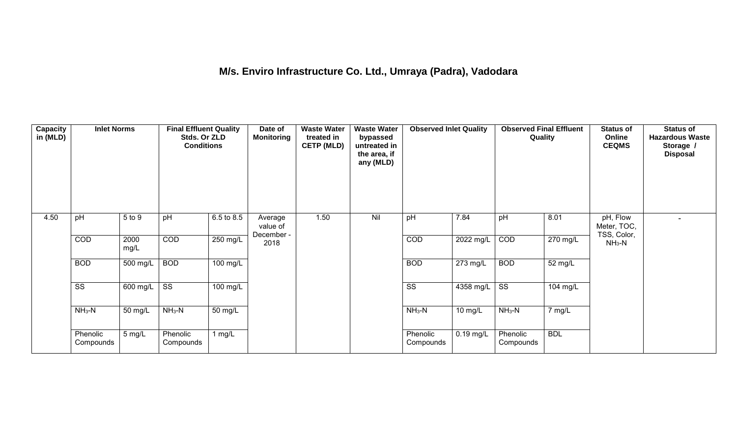## **M/s. Enviro Infrastructure Co. Ltd., Umraya (Padra), Vadodara**

| Capacity<br>in (MLD) | <b>Inlet Norms</b>     |              | <b>Final Effluent Quality</b><br>Stds. Or ZLD<br><b>Conditions</b> |                    | Date of<br><b>Monitoring</b>      | <b>Waste Water</b><br>treated in<br><b>CETP (MLD)</b> | <b>Waste Water</b><br>bypassed<br>untreated in<br>the area, if<br>any (MLD) | <b>Observed Inlet Quality</b> |             | <b>Observed Final Effluent</b><br>Quality |            | <b>Status of</b><br>Online<br><b>CEQMS</b> | <b>Status of</b><br><b>Hazardous Waste</b><br>Storage /<br><b>Disposal</b> |
|----------------------|------------------------|--------------|--------------------------------------------------------------------|--------------------|-----------------------------------|-------------------------------------------------------|-----------------------------------------------------------------------------|-------------------------------|-------------|-------------------------------------------|------------|--------------------------------------------|----------------------------------------------------------------------------|
| 4.50                 | pH                     | 5 to 9       | pH                                                                 | 6.5 to 8.5         | Average<br>value of<br>December - | 1.50                                                  | Nil                                                                         | pH                            | 7.84        | pH                                        | 8.01       | pH, Flow<br>Meter, TOC,<br>TSS, Color,     |                                                                            |
|                      | COD                    | 2000<br>mg/L | COD                                                                | 250 mg/L           | 2018                              |                                                       |                                                                             | COD                           | 2022 mg/L   | COD                                       | 270 mg/L   | $NH3-N$                                    |                                                                            |
|                      | <b>BOD</b>             | 500 mg/L     | <b>BOD</b>                                                         | $100 \text{ mg/L}$ |                                   |                                                       |                                                                             | <b>BOD</b>                    | $273$ mg/L  | <b>BOD</b>                                | 52 mg/L    |                                            |                                                                            |
|                      | $\overline{\text{ss}}$ | 600 mg/L     | $\overline{\text{ss}}$                                             | $100$ mg/L         |                                   |                                                       |                                                                             | $\overline{\text{ss}}$        | $4358$ mg/L | $\overline{\text{ss}}$                    | 104 mg/L   |                                            |                                                                            |
|                      | $NH3-N$                | 50 mg/L      | $NH3-N$                                                            | 50 mg/L            |                                   |                                                       |                                                                             | $NH3-N$                       | 10 mg/L     | $NH3-N$                                   | 7 mg/L     |                                            |                                                                            |
|                      | Phenolic<br>Compounds  | 5 mg/L       | Phenolic<br>Compounds                                              | 1 $mg/L$           |                                   |                                                       |                                                                             | Phenolic<br>Compounds         | $0.19$ mg/L | Phenolic<br>Compounds                     | <b>BDL</b> |                                            |                                                                            |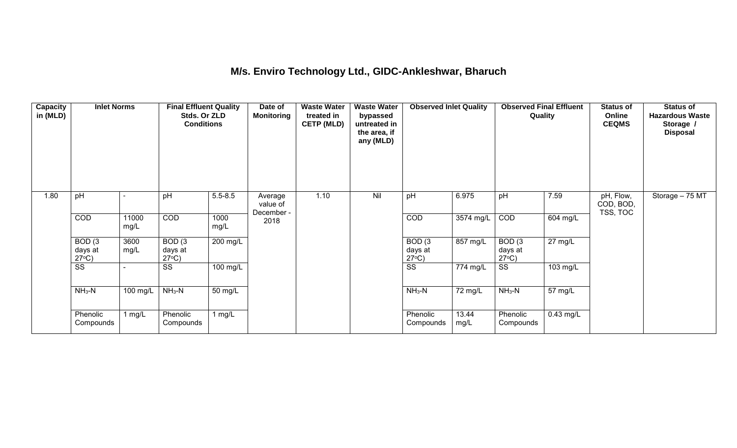#### **M/s. Enviro Technology Ltd., GIDC-Ankleshwar, Bharuch**

| <b>Capacity</b><br>in (MLD) | <b>Inlet Norms</b>                              |               | <b>Final Effluent Quality</b><br>Stds. Or ZLD<br><b>Conditions</b> |              | Date of<br><b>Monitoring</b>      | <b>Waste Water</b><br>treated in<br><b>CETP (MLD)</b> | <b>Waste Water</b><br>bypassed<br>untreated in<br>the area, if<br>any (MLD) | <b>Observed Inlet Quality</b>        |                       | <b>Observed Final Effluent</b><br>Quality |                   | <b>Status of</b><br>Online<br><b>CEQMS</b> | <b>Status of</b><br><b>Hazardous Waste</b><br>Storage /<br><b>Disposal</b> |
|-----------------------------|-------------------------------------------------|---------------|--------------------------------------------------------------------|--------------|-----------------------------------|-------------------------------------------------------|-----------------------------------------------------------------------------|--------------------------------------|-----------------------|-------------------------------------------|-------------------|--------------------------------------------|----------------------------------------------------------------------------|
| 1.80                        | pH                                              |               | pH                                                                 | $5.5 - 8.5$  | Average<br>value of<br>December - | 1.10                                                  | Nil                                                                         | pH                                   | 6.975                 | pH                                        | 7.59              | pH, Flow,<br>COD, BOD,<br>TSS, TOC         | Storage - 75 MT                                                            |
|                             | COD                                             | 11000<br>mg/L | <b>COD</b>                                                         | 1000<br>mg/L | 2018                              |                                                       |                                                                             | COD                                  | 3574 mg/L             | <b>COD</b>                                | 604 mg/L          |                                            |                                                                            |
|                             | BOD <sub>(3</sub><br>days at<br>$27^{\circ}C$ ) | 3600<br>mg/L  | BOD(3)<br>days at<br>$27^{\circ}C$ )                               | 200 mg/L     |                                   |                                                       |                                                                             | BOD(3)<br>days at<br>$27^{\circ}C$ ) | 857 mg/L              | BOD(3)<br>days at<br>$27^{\circ}C$ )      | $27 \text{ mg/L}$ |                                            |                                                                            |
|                             | $\overline{\text{ss}}$                          |               | $\overline{\text{ss}}$                                             | 100 mg/L     |                                   |                                                       |                                                                             | $\overline{\text{SS}}$               | $\overline{77}4$ mg/L | $\overline{\text{ss}}$                    | 103 mg/L          |                                            |                                                                            |
|                             | $NH3-N$                                         | 100 mg/L      | $NH3-N$                                                            | 50 mg/L      |                                   |                                                       |                                                                             | $NH3-N$                              | 72 mg/L               | $NH3-N$                                   | 57 mg/L           |                                            |                                                                            |
|                             | Phenolic<br>Compounds                           | 1 $mg/L$      | Phenolic<br>Compounds                                              | 1 $mg/L$     |                                   |                                                       |                                                                             | Phenolic<br>Compounds                | 13.44<br>mg/L         | Phenolic<br>Compounds                     | $0.43$ mg/L       |                                            |                                                                            |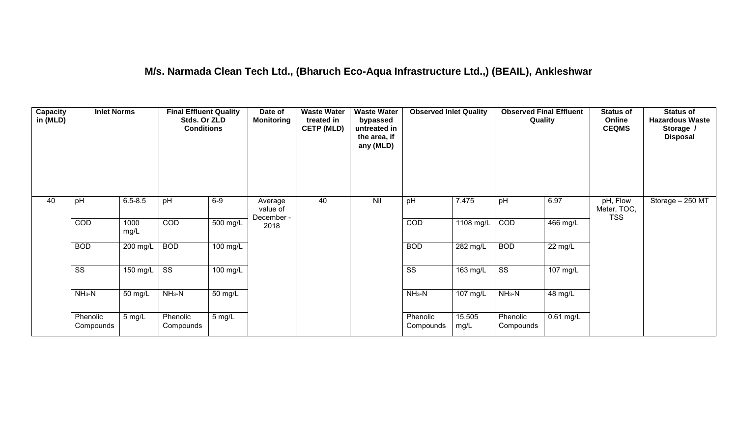#### **M/s. Narmada Clean Tech Ltd., (Bharuch Eco-Aqua Infrastructure Ltd.,) (BEAIL), Ankleshwar**

| <b>Capacity</b><br>in (MLD) | <b>Inlet Norms</b>     |               | <b>Final Effluent Quality</b><br>Stds. Or ZLD<br><b>Conditions</b> |                       | Date of<br><b>Monitoring</b>      | <b>Waste Water</b><br>treated in<br><b>CETP (MLD)</b> | <b>Waste Water</b><br>bypassed<br>untreated in<br>the area, if<br>any (MLD) | <b>Observed Inlet Quality</b> |                | <b>Observed Final Effluent</b><br>Quality |                    | <b>Status of</b><br>Online<br><b>CEQMS</b> | <b>Status of</b><br><b>Hazardous Waste</b><br>Storage /<br><b>Disposal</b> |
|-----------------------------|------------------------|---------------|--------------------------------------------------------------------|-----------------------|-----------------------------------|-------------------------------------------------------|-----------------------------------------------------------------------------|-------------------------------|----------------|-------------------------------------------|--------------------|--------------------------------------------|----------------------------------------------------------------------------|
| 40                          | pH                     | $6.5 - 8.5$   | pH                                                                 | $6-9$                 | Average<br>value of<br>December - | 40                                                    | Nil                                                                         | pH                            | 7.475          | pH                                        | 6.97               | pH, Flow<br>Meter, TOC,<br><b>TSS</b>      | Storage $-250$ MT                                                          |
|                             | COD                    | 1000<br>mg/L  | COD                                                                | $\overline{500}$ mg/L | 2018                              |                                                       |                                                                             | COD                           | 1108 mg/L      | COD                                       | $466$ mg/L         |                                            |                                                                            |
|                             | <b>BOD</b>             | 200 mg/L      | <b>BOD</b>                                                         | $\overline{100}$ mg/L |                                   |                                                       |                                                                             | <b>BOD</b>                    | 282 mg/L       | <b>BOD</b>                                | 22 mg/L            |                                            |                                                                            |
|                             | $\overline{\text{ss}}$ | 150 $mg/L$ SS |                                                                    | $100$ mg/L            |                                   |                                                       |                                                                             | $\overline{\text{ss}}$        | $163$ mg/L     | $\overline{\text{ss}}$                    | $107 \text{ mg/L}$ |                                            |                                                                            |
|                             | $NH3-N$                | 50 mg/L       | $NH3-N$                                                            | 50 mg/L               |                                   |                                                       |                                                                             | $NH3-N$                       | 107 mg/L       | $NH3-N$                                   | 48 mg/L            |                                            |                                                                            |
|                             | Phenolic<br>Compounds  | 5 mg/L        | Phenolic<br>Compounds                                              | 5 mg/L                |                                   |                                                       |                                                                             | Phenolic<br>Compounds         | 15.505<br>mg/L | Phenolic<br>Compounds                     | $0.61$ mg/L        |                                            |                                                                            |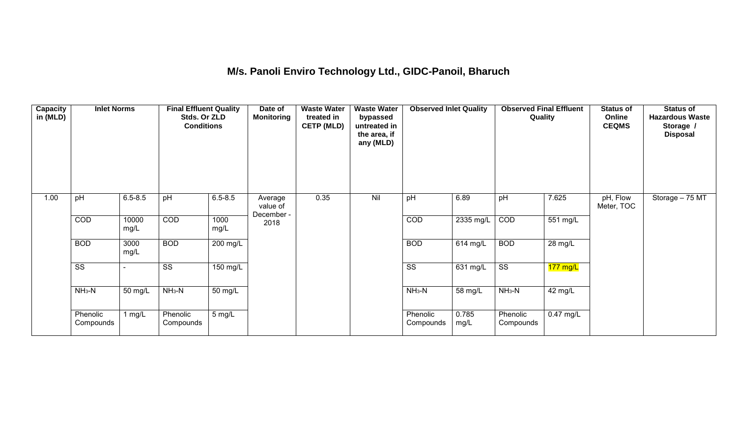## **M/s. Panoli Enviro Technology Ltd., GIDC-Panoil, Bharuch**

| Capacity<br>in (MLD) | <b>Inlet Norms</b>     |               | <b>Final Effluent Quality</b><br>Stds. Or ZLD<br><b>Conditions</b> |              | Date of<br><b>Monitoring</b>      | <b>Waste Water</b><br>treated in<br><b>CETP (MLD)</b> | <b>Waste Water</b><br>bypassed<br>untreated in<br>the area, if<br>any (MLD) | <b>Observed Inlet Quality</b> |               | <b>Observed Final Effluent</b><br>Quality |             | <b>Status of</b><br>Online<br><b>CEQMS</b> | <b>Status of</b><br><b>Hazardous Waste</b><br>Storage /<br><b>Disposal</b> |
|----------------------|------------------------|---------------|--------------------------------------------------------------------|--------------|-----------------------------------|-------------------------------------------------------|-----------------------------------------------------------------------------|-------------------------------|---------------|-------------------------------------------|-------------|--------------------------------------------|----------------------------------------------------------------------------|
| 1.00                 | pH                     | $6.5 - 8.5$   | pH                                                                 | $6.5 - 8.5$  | Average<br>value of<br>December - | 0.35                                                  | Nil                                                                         | pH                            | 6.89          | pH                                        | 7.625       | pH, Flow<br>Meter, TOC                     | Storage - 75 MT                                                            |
|                      | COD                    | 10000<br>mg/L | <b>COD</b>                                                         | 1000<br>mg/L | 2018                              |                                                       |                                                                             | COD                           | 2335 mg/L     | COD                                       | 551 mg/L    |                                            |                                                                            |
|                      | <b>BOD</b>             | 3000<br>mg/L  | <b>BOD</b>                                                         | $200$ mg/L   |                                   |                                                       |                                                                             | <b>BOD</b>                    | 614 mg/L      | <b>BOD</b>                                | 28 mg/L     |                                            |                                                                            |
|                      | $\overline{\text{ss}}$ |               | SS                                                                 | 150 mg/L     |                                   |                                                       |                                                                             | $\overline{\text{ss}}$        | 631 mg/L      | $\overline{\text{ss}}$                    | $177$ mg/L  |                                            |                                                                            |
|                      | $NH3-N$                | 50 mg/L       | $NH3-N$                                                            | 50 mg/L      |                                   |                                                       |                                                                             | $NH3-N$                       | 58 mg/L       | $NH3-N$                                   | 42 mg/L     |                                            |                                                                            |
|                      | Phenolic<br>Compounds  | 1 $mg/L$      | Phenolic<br>Compounds                                              | 5 mg/L       |                                   |                                                       |                                                                             | Phenolic<br>Compounds         | 0.785<br>mg/L | Phenolic<br>Compounds                     | $0.47$ mg/L |                                            |                                                                            |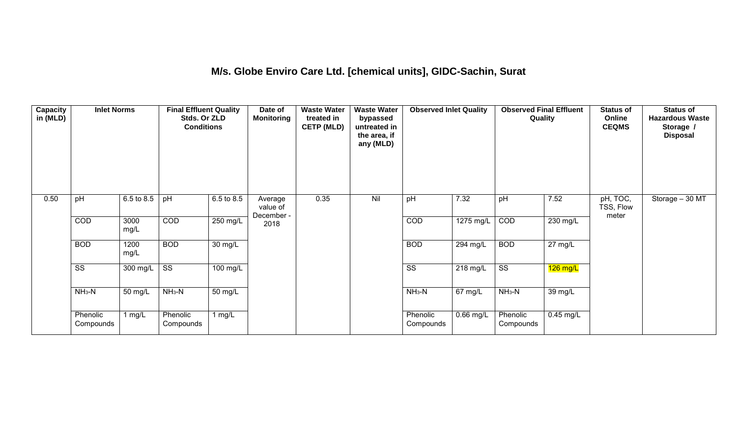#### **M/s. Globe Enviro Care Ltd. [chemical units], GIDC-Sachin, Surat**

| Capacity<br>in (MLD) | <b>Inlet Norms</b>     |              | <b>Final Effluent Quality</b><br>Stds. Or ZLD<br><b>Conditions</b> |                      | Date of<br><b>Monitoring</b>      | <b>Waste Water</b><br>treated in<br><b>CETP (MLD)</b> | <b>Waste Water</b><br>bypassed<br>untreated in<br>the area, if<br>any (MLD) | <b>Observed Inlet Quality</b> |                      | <b>Observed Final Effluent</b><br>Quality |                   | <b>Status of</b><br>Online<br><b>CEQMS</b> | <b>Status of</b><br><b>Hazardous Waste</b><br>Storage /<br><b>Disposal</b> |
|----------------------|------------------------|--------------|--------------------------------------------------------------------|----------------------|-----------------------------------|-------------------------------------------------------|-----------------------------------------------------------------------------|-------------------------------|----------------------|-------------------------------------------|-------------------|--------------------------------------------|----------------------------------------------------------------------------|
| 0.50                 | pH                     | 6.5 to 8.5   | pH                                                                 | 6.5 to 8.5           | Average<br>value of<br>December - | 0.35                                                  | Nil                                                                         | pH                            | 7.32                 | pH                                        | 7.52              | pH, TOC,<br>TSS, Flow<br>meter             | Storage - 30 MT                                                            |
|                      | COD                    | 3000<br>mg/L | COD                                                                | $250$ mg/L           | 2018                              |                                                       |                                                                             | COD                           | 1275 mg/L            | COD                                       | 230 mg/L          |                                            |                                                                            |
|                      | <b>BOD</b>             | 1200<br>mg/L | <b>BOD</b>                                                         | $\overline{30}$ mg/L |                                   |                                                       |                                                                             | <b>BOD</b>                    | 294 mg/L             | <b>BOD</b>                                | $27 \text{ mg/L}$ |                                            |                                                                            |
|                      | $\overline{\text{ss}}$ | $300$ mg/L   | $\overline{\text{ss}}$                                             | $100$ mg/L           |                                   |                                                       |                                                                             | $\overline{\text{ss}}$        | 218 mg/L             | $\overline{\text{ss}}$                    | $126$ mg/L        |                                            |                                                                            |
|                      | $NH3-N$                | 50 mg/L      | $NH3-N$                                                            | $\overline{50}$ mg/L |                                   |                                                       |                                                                             | $NH3-N$                       | $\overline{67}$ mg/L | $NH3-N$                                   | 39 mg/L           |                                            |                                                                            |
|                      | Phenolic<br>Compounds  | 1 mg/L       | Phenolic<br>Compounds                                              | 1 mg/L               |                                   |                                                       |                                                                             | Phenolic<br>Compounds         | $0.66$ mg/L          | Phenolic<br>Compounds                     | $0.45$ mg/L       |                                            |                                                                            |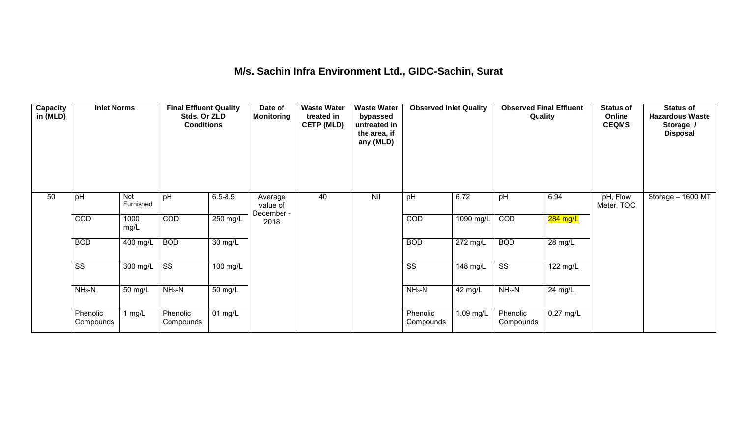#### **M/s. Sachin Infra Environment Ltd., GIDC-Sachin, Surat**

| <b>Capacity</b><br>in (MLD) | <b>Inlet Norms</b>     |                  | <b>Final Effluent Quality</b><br>Stds. Or ZLD<br><b>Conditions</b> |                      | Date of<br><b>Monitoring</b>      | <b>Waste Water</b><br>treated in<br><b>CETP (MLD)</b> | <b>Waste Water</b><br>bypassed<br>untreated in<br>the area, if<br>any (MLD) | <b>Observed Inlet Quality</b> |                       | <b>Observed Final Effluent</b><br>Quality |                   | <b>Status of</b><br>Online<br><b>CEQMS</b> | <b>Status of</b><br><b>Hazardous Waste</b><br>Storage /<br><b>Disposal</b> |
|-----------------------------|------------------------|------------------|--------------------------------------------------------------------|----------------------|-----------------------------------|-------------------------------------------------------|-----------------------------------------------------------------------------|-------------------------------|-----------------------|-------------------------------------------|-------------------|--------------------------------------------|----------------------------------------------------------------------------|
| 50                          | pH                     | Not<br>Furnished | pH                                                                 | $6.5 - 8.5$          | Average<br>value of<br>December - | 40                                                    | Nil                                                                         | pH                            | 6.72                  | pH                                        | 6.94              | pH, Flow<br>Meter, TOC                     | Storage - 1600 MT                                                          |
|                             | COD                    | 1000<br>mg/L     | COD                                                                | 250 mg/L             | 2018                              |                                                       |                                                                             | COD                           | $1090$ mg/L           | COD                                       | 284 mg/L          |                                            |                                                                            |
|                             | <b>BOD</b>             | 400 mg/L         | <b>BOD</b>                                                         | $\overline{30}$ mg/L |                                   |                                                       |                                                                             | <b>BOD</b>                    | 272 mg/L              | <b>BOD</b>                                | $28 \text{ mg/L}$ |                                            |                                                                            |
|                             | $\overline{\text{ss}}$ | 300 mg/L         | $\overline{\text{ss}}$                                             | $100 \text{ mg/L}$   |                                   |                                                       |                                                                             | $\overline{\text{ss}}$        | $\overline{148}$ mg/L | $\overline{\text{ss}}$                    | 122 mg/L          |                                            |                                                                            |
|                             | $NH3-N$                | 50 mg/L          | $NH3-N$                                                            | $\overline{50}$ mg/L |                                   |                                                       |                                                                             | $NH3-N$                       | 42 mg/L               | $NH3-N$                                   | 24 mg/L           |                                            |                                                                            |
|                             | Phenolic<br>Compounds  | 1 mg/L           | Phenolic<br>Compounds                                              | 01 mg/L              |                                   |                                                       |                                                                             | Phenolic<br>Compounds         | 1.09 mg/L             | Phenolic<br>Compounds                     | $0.27$ mg/L       |                                            |                                                                            |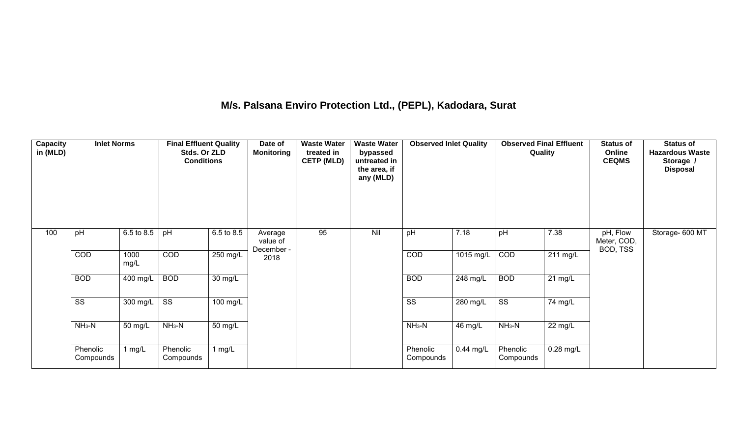## **M/s. Palsana Enviro Protection Ltd., (PEPL), Kadodara, Surat**

| Capacity<br>in (MLD) | <b>Inlet Norms</b>     |              | <b>Final Effluent Quality</b><br>Stds. Or ZLD<br><b>Conditions</b> |                       | Date of<br><b>Monitoring</b>      | <b>Waste Water</b><br>treated in<br><b>CETP (MLD)</b> | <b>Waste Water</b><br>bypassed<br>untreated in<br>the area, if<br>any (MLD) | <b>Observed Inlet Quality</b> |             | <b>Observed Final Effluent</b><br>Quality |                      | <b>Status of</b><br>Online<br><b>CEQMS</b> | <b>Status of</b><br><b>Hazardous Waste</b><br>Storage /<br><b>Disposal</b> |
|----------------------|------------------------|--------------|--------------------------------------------------------------------|-----------------------|-----------------------------------|-------------------------------------------------------|-----------------------------------------------------------------------------|-------------------------------|-------------|-------------------------------------------|----------------------|--------------------------------------------|----------------------------------------------------------------------------|
| 100                  | pH                     | 6.5 to 8.5   | pH                                                                 | 6.5 to 8.5            | Average<br>value of<br>December - | 95                                                    | Nil                                                                         | pH                            | 7.18        | pH                                        | 7.38                 | pH, Flow<br>Meter, COD,<br>BOD, TSS        | Storage- 600 MT                                                            |
|                      | COD                    | 1000<br>mg/L | COD                                                                | $250$ mg/L            | 2018                              |                                                       |                                                                             | COD                           | 1015 mg/L   | COD                                       | $211 \text{ mg/L}$   |                                            |                                                                            |
|                      | <b>BOD</b>             | 400 mg/L     | <b>BOD</b>                                                         | $30 \text{ mg/L}$     |                                   |                                                       |                                                                             | <b>BOD</b>                    | 248 mg/L    | <b>BOD</b>                                | $\overline{21}$ mg/L |                                            |                                                                            |
|                      | $\overline{\text{ss}}$ | 300 mg/L     | $\overline{\text{ss}}$                                             | $\overline{100}$ mg/L |                                   |                                                       |                                                                             | $\overline{\text{ss}}$        | 280 mg/L    | $\overline{\text{ss}}$                    | 74 mg/L              |                                            |                                                                            |
|                      | $NH_3-N$               | 50 mg/L      | $NH3-N$                                                            | 50 mg/L               |                                   |                                                       |                                                                             | $NH3-N$                       | 46 mg/L     | $NH_3-N$                                  | 22 mg/L              |                                            |                                                                            |
|                      | Phenolic<br>Compounds  | 1 $mg/L$     | Phenolic<br>Compounds                                              | 1 $mg/L$              |                                   |                                                       |                                                                             | Phenolic<br>Compounds         | $0.44$ mg/L | Phenolic<br>Compounds                     | $0.28$ mg/L          |                                            |                                                                            |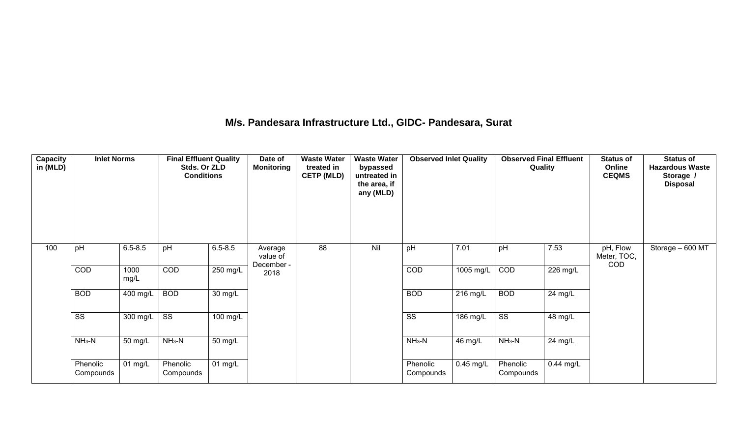#### **M/s. Pandesara Infrastructure Ltd., GIDC- Pandesara, Surat**

| <b>Capacity</b><br>in (MLD) | <b>Inlet Norms</b>     |              | <b>Final Effluent Quality</b><br>Stds. Or ZLD<br><b>Conditions</b> |                       | Date of<br><b>Monitoring</b>      | <b>Waste Water</b><br>treated in<br><b>CETP (MLD)</b> | <b>Waste Water</b><br>bypassed<br>untreated in<br>the area, if<br>any (MLD) | <b>Observed Inlet Quality</b> |                     | <b>Observed Final Effluent</b><br>Quality |             | <b>Status of</b><br>Online<br><b>CEQMS</b> | <b>Status of</b><br><b>Hazardous Waste</b><br>Storage /<br><b>Disposal</b> |
|-----------------------------|------------------------|--------------|--------------------------------------------------------------------|-----------------------|-----------------------------------|-------------------------------------------------------|-----------------------------------------------------------------------------|-------------------------------|---------------------|-------------------------------------------|-------------|--------------------------------------------|----------------------------------------------------------------------------|
| 100                         | pH                     | $6.5 - 8.5$  | pH                                                                 | $6.5 - 8.5$           | Average<br>value of<br>December - | 88                                                    | Nil                                                                         | pH                            | 7.01                | pH                                        | 7.53        | pH, Flow<br>Meter, TOC,<br>COD             | Storage - 600 MT                                                           |
|                             | COD                    | 1000<br>mg/L | COD                                                                | $250$ mg/L            | 2018                              |                                                       |                                                                             | COD                           | $1005 \text{ mg/L}$ | COD                                       | 226 mg/L    |                                            |                                                                            |
|                             | <b>BOD</b>             | 400 mg/L     | <b>BOD</b>                                                         | 30 mg/L               |                                   |                                                       |                                                                             | <b>BOD</b>                    | 216 mg/L            | <b>BOD</b>                                | $24$ mg/L   |                                            |                                                                            |
|                             | $\overline{\text{ss}}$ | 300 mg/L     | $\overline{\mathsf{ss}}$                                           | $100 \text{ mg/L}$    |                                   |                                                       |                                                                             | $\overline{\text{ss}}$        | 186 mg/L            | $\overline{\text{ss}}$                    | 48 mg/L     |                                            |                                                                            |
|                             | $NH3-N$                | 50 mg/L      | $NH3-N$                                                            | 50 mg/L               |                                   |                                                       |                                                                             | $NH_3-N$                      | 46 mg/L             | $NH3-N$                                   | 24 mg/L     |                                            |                                                                            |
|                             | Phenolic<br>Compounds  | 01 mg/L      | Phenolic<br>Compounds                                              | $\overline{0}$ 1 mg/L |                                   |                                                       |                                                                             | Phenolic<br>Compounds         | $0.45$ mg/L         | Phenolic<br>Compounds                     | $0.44$ mg/L |                                            |                                                                            |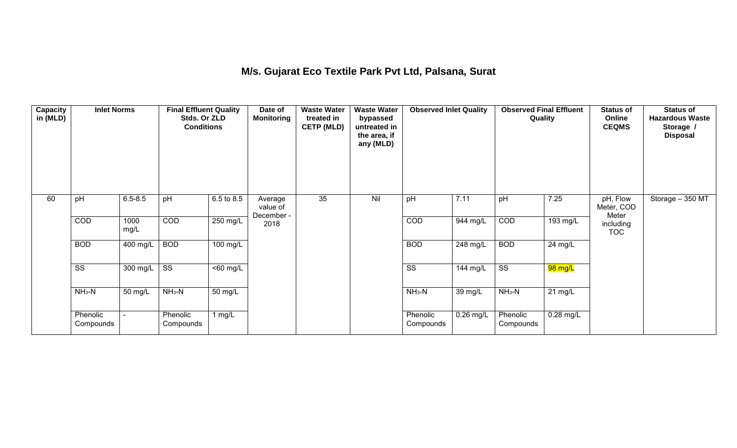## **M/s. Gujarat Eco Textile Park Pvt Ltd, Palsana, Surat**

| <b>Capacity</b><br>in (MLD) | <b>Inlet Norms</b>     |              | <b>Final Effluent Quality</b><br>Stds. Or ZLD<br><b>Conditions</b> |                      | Date of<br><b>Monitoring</b>      | <b>Waste Water</b><br>treated in<br><b>CETP (MLD)</b> | <b>Waste Water</b><br>bypassed<br>untreated in<br>the area, if<br>any (MLD) | <b>Observed Inlet Quality</b> |                    | <b>Observed Final Effluent</b><br>Quality |             | <b>Status of</b><br>Online<br><b>CEQMS</b> | <b>Status of</b><br><b>Hazardous Waste</b><br>Storage /<br><b>Disposal</b> |
|-----------------------------|------------------------|--------------|--------------------------------------------------------------------|----------------------|-----------------------------------|-------------------------------------------------------|-----------------------------------------------------------------------------|-------------------------------|--------------------|-------------------------------------------|-------------|--------------------------------------------|----------------------------------------------------------------------------|
| 60                          | pH                     | $6.5 - 8.5$  | pH                                                                 | 6.5 to 8.5           | Average<br>value of<br>December - | 35                                                    | Nil                                                                         | pH                            | 7.11               | pH                                        | 7.25        | pH, Flow<br>Meter, COD<br>Meter            | Storage - 350 MT                                                           |
|                             | COD                    | 1000<br>mg/L | COD                                                                | $250$ mg/L           | 2018                              |                                                       |                                                                             | COD                           | 944 mg/L           | COD                                       | 193 mg/L    | including<br><b>TOC</b>                    |                                                                            |
|                             | <b>BOD</b>             | 400 mg/L     | <b>BOD</b>                                                         | $100$ mg/L           |                                   |                                                       |                                                                             | <b>BOD</b>                    | $248 \text{ mg/L}$ | <b>BOD</b>                                | 24 mg/L     |                                            |                                                                            |
|                             | $\overline{\text{ss}}$ | 300 mg/L     | $\overline{\text{ss}}$                                             | $50 \, \text{mg/L}$  |                                   |                                                       |                                                                             | $\overline{\text{ss}}$        | $144 \text{ mg/L}$ | $\overline{\text{ss}}$                    | 98 mg/L     |                                            |                                                                            |
|                             | $NH3-N$                | 50 mg/L      | $NH3-N$                                                            | $\overline{50}$ mg/L |                                   |                                                       |                                                                             | $NH3-N$                       | 39 mg/L            | $NH3-N$                                   | $21$ mg/L   |                                            |                                                                            |
|                             | Phenolic<br>Compounds  |              | Phenolic<br>Compounds                                              | 1 mg/L               |                                   |                                                       |                                                                             | Phenolic<br>Compounds         | $0.26$ mg/L        | Phenolic<br>Compounds                     | $0.28$ mg/L |                                            |                                                                            |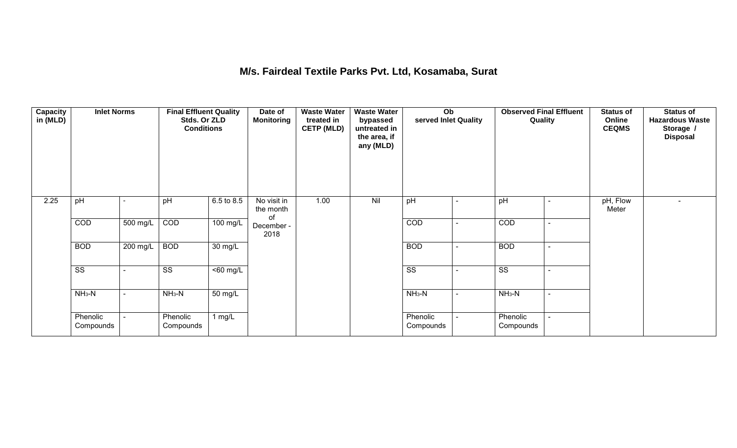#### **M/s. Fairdeal Textile Parks Pvt. Ltd, Kosamaba, Surat**

| <b>Capacity</b><br>in (MLD) | <b>Inlet Norms</b>     |                | <b>Final Effluent Quality</b><br>Stds. Or ZLD<br><b>Conditions</b> |                      | Date of<br><b>Monitoring</b>   | <b>Waste Water</b><br>treated in<br><b>CETP (MLD)</b> | <b>Waste Water</b><br>bypassed<br>untreated in<br>the area, if<br>any (MLD) | $\overline{Ob}$<br>served Inlet Quality |                | <b>Observed Final Effluent</b><br>Quality | <b>Status of</b><br>Online<br><b>CEQMS</b> | <b>Status of</b><br><b>Hazardous Waste</b><br>Storage /<br><b>Disposal</b> |
|-----------------------------|------------------------|----------------|--------------------------------------------------------------------|----------------------|--------------------------------|-------------------------------------------------------|-----------------------------------------------------------------------------|-----------------------------------------|----------------|-------------------------------------------|--------------------------------------------|----------------------------------------------------------------------------|
| 2.25                        | pH                     |                | pH                                                                 | 6.5 to 8.5           | No visit in<br>the month<br>of | 1.00                                                  | Nil                                                                         | pH                                      |                | pH                                        | pH, Flow<br>Meter                          |                                                                            |
|                             | COD                    | 500 mg/L       | COD                                                                | $100 \text{ mg/L}$   | December -<br>2018             |                                                       |                                                                             | COD                                     |                | COD                                       |                                            |                                                                            |
|                             | <b>BOD</b>             | 200 mg/L       | <b>BOD</b>                                                         | $\overline{30}$ mg/L |                                |                                                       |                                                                             | <b>BOD</b>                              |                | <b>BOD</b>                                |                                            |                                                                            |
|                             | $\overline{\text{ss}}$ |                | $\overline{\text{ss}}$                                             | $\overline{60}$ mg/L |                                |                                                       |                                                                             | $\overline{\text{ss}}$                  |                | $\overline{\text{ss}}$                    |                                            |                                                                            |
|                             | $NH3-N$                | $\blacksquare$ | $NH3-N$                                                            | $\overline{50}$ mg/L |                                |                                                       |                                                                             | $NH3-N$                                 | $\blacksquare$ | $NH3-N$                                   |                                            |                                                                            |
|                             | Phenolic<br>Compounds  |                | Phenolic<br>Compounds                                              | 1 $mg/L$             |                                |                                                       |                                                                             | Phenolic<br>Compounds                   |                | Phenolic<br>Compounds                     |                                            |                                                                            |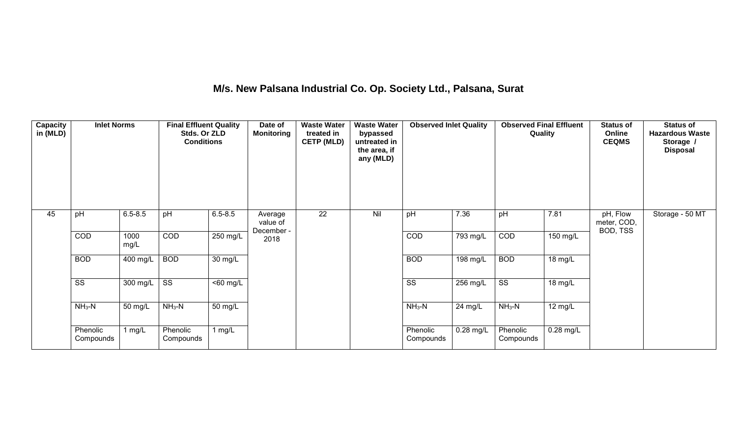# **M/s. New Palsana Industrial Co. Op. Society Ltd., Palsana, Surat**

| <b>Capacity</b><br>in (MLD) | <b>Inlet Norms</b>     |                  | <b>Final Effluent Quality</b><br>Stds. Or ZLD<br><b>Conditions</b> |                      | Date of<br><b>Monitoring</b>      | <b>Waste Water</b><br>treated in<br><b>CETP (MLD)</b> | <b>Waste Water</b><br>bypassed<br>untreated in<br>the area, if<br>any (MLD) | <b>Observed Inlet Quality</b> |           | <b>Observed Final Effluent</b><br>Quality |             | <b>Status of</b><br>Online<br><b>CEQMS</b> | <b>Status of</b><br><b>Hazardous Waste</b><br>Storage /<br><b>Disposal</b> |
|-----------------------------|------------------------|------------------|--------------------------------------------------------------------|----------------------|-----------------------------------|-------------------------------------------------------|-----------------------------------------------------------------------------|-------------------------------|-----------|-------------------------------------------|-------------|--------------------------------------------|----------------------------------------------------------------------------|
| 45                          | pH                     | $6.5 - 8.5$      | pH                                                                 | $6.5 - 8.5$          | Average<br>value of<br>December - | 22                                                    | Nil                                                                         | pH                            | 7.36      | pH                                        | 7.81        | pH, Flow<br>meter, COD,<br>BOD, TSS        | Storage - 50 MT                                                            |
|                             | COD                    | 1000<br>mg/L     | COD                                                                | 250 mg/L             | 2018                              |                                                       |                                                                             | COD                           | 793 mg/L  | COD                                       | $150$ mg/L  |                                            |                                                                            |
|                             | <b>BOD</b>             | 400 mg/L         | <b>BOD</b>                                                         | $\overline{30}$ mg/L |                                   |                                                       |                                                                             | <b>BOD</b>                    | 198 mg/L  | <b>BOD</b>                                | 18 mg/L     |                                            |                                                                            |
|                             | $\overline{\text{ss}}$ | 300 mg/L $\vert$ | $\overline{\text{ss}}$                                             | $<$ 60 mg/L          |                                   |                                                       |                                                                             | $\overline{\text{ss}}$        | 256 mg/L  | $\overline{\text{ss}}$                    | 18 mg/L     |                                            |                                                                            |
|                             | $NH3-N$                | 50 mg/L          | $NH3-N$                                                            | $50 \text{ mg/L}$    |                                   |                                                       |                                                                             | $NH_3-N$                      | 24 mg/L   | $NH_3-N$                                  | 12 mg/L     |                                            |                                                                            |
|                             | Phenolic<br>Compounds  | mg/L             | Phenolic<br>Compounds                                              | 1 mg/L               |                                   |                                                       |                                                                             | Phenolic<br>Compounds         | 0.28 mg/L | Phenolic<br>Compounds                     | $0.28$ mg/L |                                            |                                                                            |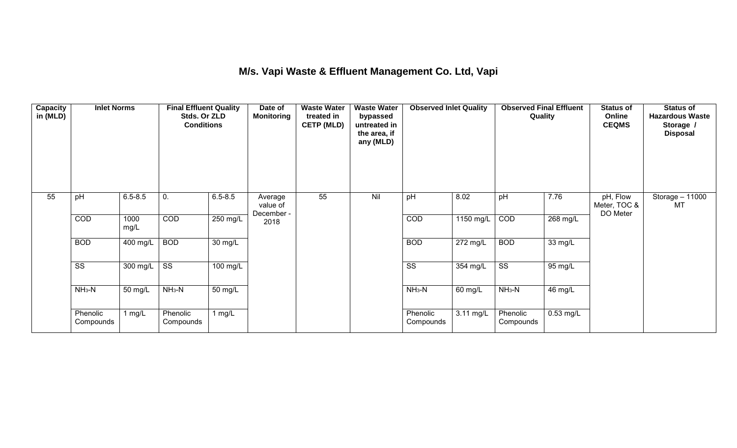## **M/s. Vapi Waste & Effluent Management Co. Ltd, Vapi**

| <b>Capacity</b><br>in (MLD) | <b>Inlet Norms</b>     |              | <b>Final Effluent Quality</b><br>Stds. Or ZLD<br><b>Conditions</b> |                      | Date of<br><b>Monitoring</b>      | <b>Waste Water</b><br>treated in<br><b>CETP (MLD)</b> | <b>Waste Water</b><br>bypassed<br>untreated in<br>the area, if<br>any (MLD) | <b>Observed Inlet Quality</b> |            | <b>Observed Final Effluent</b><br>Quality |             | <b>Status of</b><br>Online<br><b>CEQMS</b> | <b>Status of</b><br><b>Hazardous Waste</b><br>Storage /<br><b>Disposal</b> |
|-----------------------------|------------------------|--------------|--------------------------------------------------------------------|----------------------|-----------------------------------|-------------------------------------------------------|-----------------------------------------------------------------------------|-------------------------------|------------|-------------------------------------------|-------------|--------------------------------------------|----------------------------------------------------------------------------|
| 55                          | pH                     | $6.5 - 8.5$  | 0.                                                                 | $6.5 - 8.5$          | Average<br>value of<br>December - | 55                                                    | Nil                                                                         | pH                            | 8.02       | pH                                        | 7.76        | pH, Flow<br>Meter, TOC &<br>DO Meter       | Storage - 11000<br>МT                                                      |
|                             | COD                    | 1000<br>mg/L | COD                                                                | 250 mg/L             | 2018                              |                                                       |                                                                             | COD                           | 1150 mg/L  | COD                                       | 268 mg/L    |                                            |                                                                            |
|                             | <b>BOD</b>             | 400 mg/L     | <b>BOD</b>                                                         | $\overline{30}$ mg/L |                                   |                                                       |                                                                             | <b>BOD</b>                    | 272 mg/L   | <b>BOD</b>                                | 33 mg/L     |                                            |                                                                            |
|                             | $\overline{\text{ss}}$ | 300 mg/L     | $\overline{\text{ss}}$                                             | 100 mg/L             |                                   |                                                       |                                                                             | $\overline{\text{ss}}$        | $354$ mg/L | $\overline{\text{ss}}$                    | 95 mg/L     |                                            |                                                                            |
|                             | $NH3-N$                | 50 mg/L      | $NH3-N$                                                            | $\overline{50}$ mg/L |                                   |                                                       |                                                                             | $NH3-N$                       | 60 mg/L    | $NH3-N$                                   | 46 mg/L     |                                            |                                                                            |
|                             | Phenolic<br>Compounds  | 1 mg/L       | Phenolic<br>Compounds                                              | 1 $mg/L$             |                                   |                                                       |                                                                             | Phenolic<br>Compounds         | 3.11 mg/L  | Phenolic<br>Compounds                     | $0.53$ mg/L |                                            |                                                                            |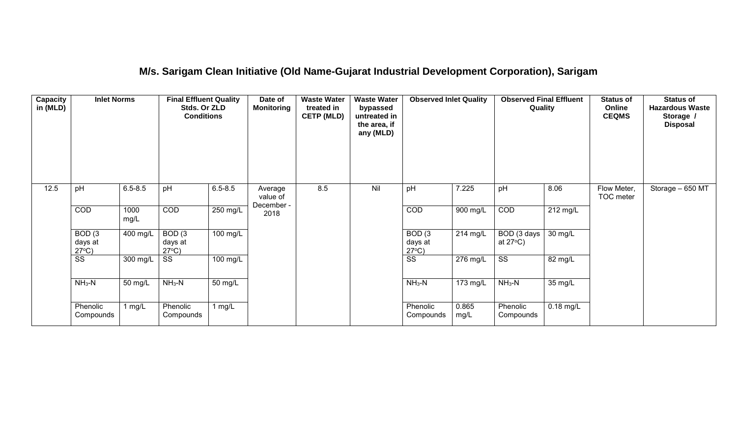#### **M/s. Sarigam Clean Initiative (Old Name-Gujarat Industrial Development Corporation), Sarigam**

| Capacity<br>in (MLD) | <b>Inlet Norms</b>                              |              | <b>Final Effluent Quality</b><br>Stds. Or ZLD<br><b>Conditions</b> |                    | Date of<br><b>Monitoring</b>      | <b>Waste Water</b><br>treated in<br><b>CETP (MLD)</b><br>8.5 | <b>Waste Water</b><br>bypassed<br>untreated in<br>the area, if<br>any (MLD)<br>Nil | <b>Observed Inlet Quality</b><br>7.225<br>pH    |               | <b>Observed Final Effluent</b><br>Quality              |                       | <b>Status of</b><br>Online<br><b>CEQMS</b> | <b>Status of</b><br><b>Hazardous Waste</b><br>Storage /<br><b>Disposal</b> |
|----------------------|-------------------------------------------------|--------------|--------------------------------------------------------------------|--------------------|-----------------------------------|--------------------------------------------------------------|------------------------------------------------------------------------------------|-------------------------------------------------|---------------|--------------------------------------------------------|-----------------------|--------------------------------------------|----------------------------------------------------------------------------|
| 12.5                 | pH                                              | $6.5 - 8.5$  | pH                                                                 | $6.5 - 8.5$        | Average<br>value of<br>December - |                                                              |                                                                                    |                                                 |               | pH                                                     | 8.06                  | Flow Meter,<br>TOC meter                   | Storage - 650 MT                                                           |
|                      | COD                                             | 1000<br>mg/L | COD                                                                | 250 mg/L           | 2018                              |                                                              |                                                                                    | COD                                             | 900 mg/L      | COD                                                    | $\overline{212}$ mg/L |                                            |                                                                            |
|                      | BOD <sub>(3</sub><br>days at<br>$27^{\circ}C$ ) | 400 mg/L     | BOD <sub>(3</sub><br>days at<br>$27^{\circ}C$ )                    | $100 \text{ mg/L}$ |                                   |                                                              |                                                                                    | BOD <sub>(3</sub><br>days at<br>$27^{\circ}C$ ) | 214 mg/L      | $\overline{BOD}$ (3 days $\vert$<br>at $27^{\circ}$ C) | 30 mg/L               |                                            |                                                                            |
|                      | $\overline{\text{SS}}$                          | 300 mg/L     | SS                                                                 | 100 mg/L           |                                   |                                                              |                                                                                    | $\overline{\text{ss}}$                          | 276 mg/L      | $\overline{\text{SS}}$                                 | 82 mg/L               |                                            |                                                                            |
|                      | $NH3-N$                                         | 50 mg/L      | $NH_3-N$                                                           | $50 \text{ mg/L}$  |                                   |                                                              |                                                                                    | $NH3-N$                                         | $173$ mg/L    | $NH3-N$                                                | 35 mg/L               |                                            |                                                                            |
|                      | Phenolic<br>Compounds                           | 1 mg/L       | Phenolic<br>Compounds                                              | 1 $mg/L$           |                                   |                                                              |                                                                                    | Phenolic<br>Compounds                           | 0.865<br>mg/L | Phenolic<br>Compounds                                  | $0.18$ mg/L           |                                            |                                                                            |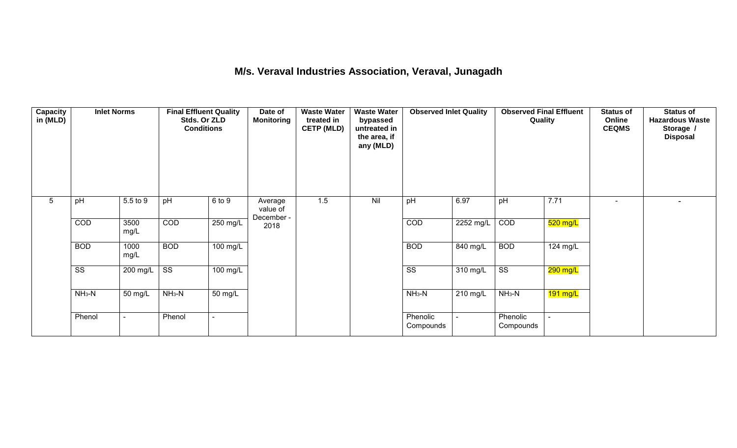#### **M/s. Veraval Industries Association, Veraval, Junagadh**

| <b>Capacity</b><br>in (MLD) | <b>Inlet Norms</b>     |                | <b>Final Effluent Quality</b><br>Stds. Or ZLD<br><b>Conditions</b> |                      | Date of<br><b>Monitoring</b>      | <b>Waste Water</b><br>treated in<br><b>CETP (MLD)</b> | <b>Waste Water</b><br>bypassed<br>untreated in<br>the area, if<br>any (MLD) | <b>Observed Inlet Quality</b> |           | <b>Observed Final Effluent</b><br>Quality |            | <b>Status of</b><br>Online<br><b>CEQMS</b> | <b>Status of</b><br><b>Hazardous Waste</b><br>Storage /<br><b>Disposal</b> |
|-----------------------------|------------------------|----------------|--------------------------------------------------------------------|----------------------|-----------------------------------|-------------------------------------------------------|-----------------------------------------------------------------------------|-------------------------------|-----------|-------------------------------------------|------------|--------------------------------------------|----------------------------------------------------------------------------|
| 5                           | pH                     | 5.5 to 9       | pH                                                                 | 6 to 9               | Average<br>value of<br>December - | 1.5                                                   | Nil                                                                         | pH                            | 6.97      | pH                                        | 7.71       | $\sim$                                     |                                                                            |
|                             | COD                    | 3500<br>mg/L   | COD                                                                | $250$ mg/L           | 2018                              |                                                       |                                                                             | COD                           | 2252 mg/L | COD                                       | $520$ mg/L |                                            |                                                                            |
|                             | <b>BOD</b>             | 1000<br>mg/L   | <b>BOD</b>                                                         | $100 \text{ mg/L}$   |                                   |                                                       |                                                                             | <b>BOD</b>                    | 840 mg/L  | <b>BOD</b>                                | 124 mg/L   |                                            |                                                                            |
|                             | $\overline{\text{ss}}$ | $200$ mg/L     | $\overline{\text{ss}}$                                             | $100 \text{ mg/L}$   |                                   |                                                       |                                                                             | $\overline{\text{ss}}$        | 310 mg/L  | $\overline{\text{ss}}$                    | 290 mg/L   |                                            |                                                                            |
|                             | $NH3-N$                | 50 mg/L        | $NH3-N$                                                            | $\overline{50}$ mg/L |                                   |                                                       |                                                                             | $NH3-N$                       | 210 mg/L  | $NH3-N$                                   | $191$ mg/L |                                            |                                                                            |
|                             | Phenol                 | $\blacksquare$ | Phenol                                                             |                      |                                   |                                                       |                                                                             | Phenolic<br>Compounds         |           | Phenolic<br>Compounds                     |            |                                            |                                                                            |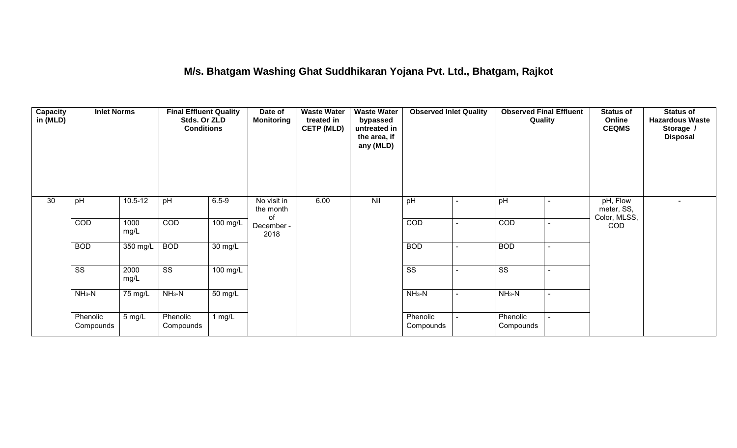#### **M/s. Bhatgam Washing Ghat Suddhikaran Yojana Pvt. Ltd., Bhatgam, Rajkot**

| <b>Capacity</b><br>in (MLD) | <b>Inlet Norms</b>     |              | <b>Final Effluent Quality</b><br>Stds. Or ZLD<br><b>Conditions</b> |                       | Date of<br><b>Monitoring</b>   | <b>Waste Water</b><br>treated in<br><b>CETP (MLD)</b> | <b>Waste Water</b><br>bypassed<br>untreated in<br>the area, if<br>any (MLD) | <b>Observed Inlet Quality</b> | <b>Observed Final Effluent</b><br>Quality |                | <b>Status of</b><br>Online<br><b>CEQMS</b> | <b>Status of</b><br><b>Hazardous Waste</b><br>Storage /<br><b>Disposal</b> |
|-----------------------------|------------------------|--------------|--------------------------------------------------------------------|-----------------------|--------------------------------|-------------------------------------------------------|-----------------------------------------------------------------------------|-------------------------------|-------------------------------------------|----------------|--------------------------------------------|----------------------------------------------------------------------------|
| 30                          | pH                     | $10.5 - 12$  | pH                                                                 | $6.5 - 9$             | No visit in<br>the month<br>of | 6.00                                                  | Nil                                                                         | pH                            | pH                                        | $\sim$         | pH, Flow<br>meter, SS,<br>Color, MLSS,     |                                                                            |
|                             | COD                    | 1000<br>mg/L | COD                                                                | $\overline{100}$ mg/L | December -<br>2018             |                                                       |                                                                             | COD                           | COD                                       | $\blacksquare$ | <b>COD</b>                                 |                                                                            |
|                             | <b>BOD</b>             | $350$ mg/L   | <b>BOD</b>                                                         | 30 mg/L               |                                |                                                       |                                                                             | <b>BOD</b>                    | <b>BOD</b>                                | $\sim$         |                                            |                                                                            |
|                             | $\overline{\text{ss}}$ | 2000<br>mg/L | $\overline{\text{ss}}$                                             | 100 mg/L              |                                |                                                       |                                                                             | $\overline{\text{ss}}$        | $\overline{\text{ss}}$                    | $\blacksquare$ |                                            |                                                                            |
|                             | $NH3-N$                | 75 mg/L      | $NH3-N$                                                            | $\overline{50}$ mg/L  |                                |                                                       |                                                                             | $NH3-N$                       | $NH3-N$                                   | $\sim$         |                                            |                                                                            |
|                             | Phenolic<br>Compounds  | 5 mg/L       | Phenolic<br>Compounds                                              | 1 mg/L                |                                |                                                       |                                                                             | Phenolic<br>Compounds         | Phenolic<br>Compounds                     | $\sim$         |                                            |                                                                            |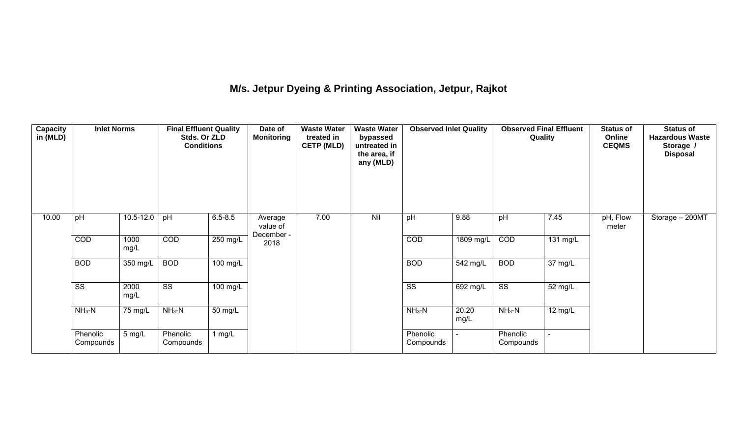# **M/s. Jetpur Dyeing & Printing Association, Jetpur, Rajkot**

| <b>Capacity</b><br>in (MLD) | <b>Inlet Norms</b>     |               | <b>Final Effluent Quality</b><br>Stds. Or ZLD<br><b>Conditions</b> |                       | <b>Waste Water</b><br>Date of<br><b>Monitoring</b><br>treated in<br><b>CETP (MLD)</b> |      | <b>Waste Water</b><br>bypassed<br>untreated in<br>the area, if<br>any (MLD)<br>Nil | <b>Observed Inlet Quality</b> |                       | <b>Observed Final Effluent</b><br>Quality |                      | <b>Status of</b><br>Online<br><b>CEQMS</b> | <b>Status of</b><br><b>Hazardous Waste</b><br>Storage /<br><b>Disposal</b> |
|-----------------------------|------------------------|---------------|--------------------------------------------------------------------|-----------------------|---------------------------------------------------------------------------------------|------|------------------------------------------------------------------------------------|-------------------------------|-----------------------|-------------------------------------------|----------------------|--------------------------------------------|----------------------------------------------------------------------------|
| 10.00                       | pH                     | $10.5 - 12.0$ | pH                                                                 | $6.5 - 8.5$           | Average<br>value of<br>December -                                                     | 7.00 |                                                                                    | pH                            | 9.88                  | pH                                        | 7.45                 | pH, Flow<br>meter                          | Storage - 200MT                                                            |
|                             | COD                    | 1000<br>mg/L  | COD                                                                | 250 mg/L              | 2018                                                                                  |      |                                                                                    | COD                           | 1809 mg/L             | COD                                       | 131 mg/L             |                                            |                                                                            |
|                             | <b>BOD</b>             | 350 mg/L      | <b>BOD</b>                                                         | $\overline{100}$ mg/L |                                                                                       |      |                                                                                    | <b>BOD</b>                    | $\overline{542}$ mg/L | <b>BOD</b>                                | 37 mg/L              |                                            |                                                                            |
|                             | $\overline{\text{ss}}$ | 2000<br>mg/L  | $\overline{\text{ss}}$                                             | 100 mg/L              |                                                                                       |      |                                                                                    | $\overline{\text{ss}}$        | 692 mg/L              | $\overline{\text{ss}}$                    | $\overline{52}$ mg/L |                                            |                                                                            |
|                             | $NH3-N$                | 75 mg/L       | $NH3-N$                                                            | $50 \text{ mg/L}$     |                                                                                       |      |                                                                                    | $NH_3-N$                      | 20.20<br>mg/L         | $NH_3-N$                                  | 12 mg/L              |                                            |                                                                            |
|                             | Phenolic<br>Compounds  | 5 mg/L        | Phenolic<br>Compounds                                              | 1 mg/L                |                                                                                       |      |                                                                                    | Phenolic<br>Compounds         | ÷                     | Phenolic<br>Compounds                     |                      |                                            |                                                                            |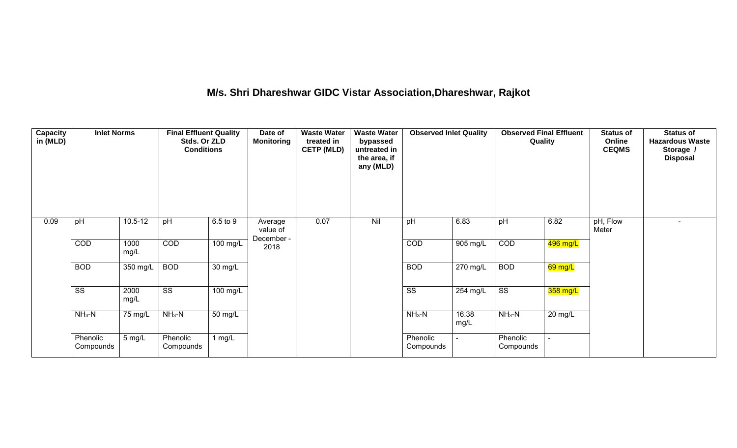# **M/s. Shri Dhareshwar GIDC Vistar Association,Dhareshwar, Rajkot**

| <b>Capacity</b><br>in (MLD) | <b>Inlet Norms</b>     |              | <b>Final Effluent Quality</b><br>Stds. Or ZLD<br><b>Conditions</b> |                   | Date of<br><b>Waste Water</b><br><b>Waste Water</b><br><b>Observed Final Effluent</b><br><b>Observed Inlet Quality</b><br><b>Monitoring</b><br>treated in<br>Quality<br>bypassed<br><b>CETP (MLD)</b><br>untreated in<br>the area, if<br>any (MLD) |      |     | <b>Status of</b><br>Online<br><b>CEQMS</b> | <b>Status of</b><br><b>Hazardous Waste</b><br>Storage /<br><b>Disposal</b> |                        |           |                   |  |
|-----------------------------|------------------------|--------------|--------------------------------------------------------------------|-------------------|----------------------------------------------------------------------------------------------------------------------------------------------------------------------------------------------------------------------------------------------------|------|-----|--------------------------------------------|----------------------------------------------------------------------------|------------------------|-----------|-------------------|--|
| 0.09                        | pH                     | $10.5 - 12$  | pH                                                                 | 6.5 to 9          | Average<br>value of<br>December -                                                                                                                                                                                                                  | 0.07 | Nil | pH                                         | 6.83                                                                       | pH                     | 6.82      | pH, Flow<br>Meter |  |
|                             | COD                    | 1000<br>mg/L | COD                                                                | $100$ mg/L        | 2018                                                                                                                                                                                                                                               |      |     | COD                                        | 905 mg/L                                                                   | COD                    | 496 mg/L  |                   |  |
|                             | <b>BOD</b>             | 350 mg/L     | <b>BOD</b>                                                         | 30 mg/L           |                                                                                                                                                                                                                                                    |      |     | <b>BOD</b>                                 | 270 mg/L                                                                   | <b>BOD</b>             | $69$ mg/L |                   |  |
|                             | $\overline{\text{ss}}$ | 2000<br>mg/L | $\overline{\text{ss}}$                                             | 100 mg/L          |                                                                                                                                                                                                                                                    |      |     | $\overline{\text{ss}}$                     | 254 mg/L                                                                   | $\overline{\text{ss}}$ | 358 mg/L  |                   |  |
|                             | $NH3-N$                | 75 mg/L      | $NH3-N$                                                            | $50 \text{ mg/L}$ |                                                                                                                                                                                                                                                    |      |     | $NH_3-N$                                   | 16.38<br>mg/L                                                              | $NH3-N$                | $20$ mg/L |                   |  |
|                             | Phenolic<br>Compounds  | 5 mg/L       | Phenolic<br>Compounds                                              | 1 $mg/L$          |                                                                                                                                                                                                                                                    |      |     | Phenolic<br>Compounds                      |                                                                            | Phenolic<br>Compounds  |           |                   |  |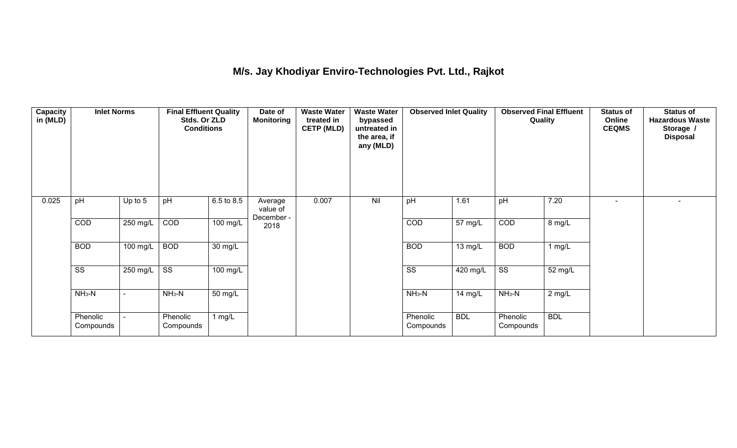## **M/s. Jay Khodiyar Enviro-Technologies Pvt. Ltd., Rajkot**

| <b>Capacity</b><br>in (MLD) | <b>Inlet Norms</b>     |          | <b>Final Effluent Quality</b><br>Stds. Or ZLD<br><b>Conditions</b> |                      | Date of<br><b>Monitoring</b>      | <b>Waste Water</b><br>treated in<br><b>CETP (MLD)</b> | <b>Waste Water</b><br>bypassed<br>untreated in<br>the area, if<br>any (MLD) | <b>Observed Inlet Quality</b> |            | <b>Observed Final Effluent</b><br>Quality |            | <b>Status of</b><br>Online<br><b>CEQMS</b> | <b>Status of</b><br><b>Hazardous Waste</b><br>Storage /<br><b>Disposal</b> |
|-----------------------------|------------------------|----------|--------------------------------------------------------------------|----------------------|-----------------------------------|-------------------------------------------------------|-----------------------------------------------------------------------------|-------------------------------|------------|-------------------------------------------|------------|--------------------------------------------|----------------------------------------------------------------------------|
| 0.025                       | pH                     | Up to 5  | pH                                                                 | 6.5 to 8.5           | Average<br>value of<br>December - | 0.007                                                 | Nil                                                                         | pH                            | 1.61       | pH                                        | 7.20       | ۰.                                         |                                                                            |
|                             | COD                    | 250 mg/L | COD                                                                | $100$ mg/L           | 2018                              |                                                       |                                                                             | COD                           | 57 mg/L    | COD                                       | 8 mg/L     |                                            |                                                                            |
|                             | <b>BOD</b>             | 100 mg/L | <b>BOD</b>                                                         | $\overline{30}$ mg/L |                                   |                                                       |                                                                             | <b>BOD</b>                    | 13 mg/L    | <b>BOD</b>                                | 1 mg/L     |                                            |                                                                            |
|                             | $\overline{\text{ss}}$ | 250 mg/L | $\overline{\text{ss}}$                                             | $100$ mg/L           |                                   |                                                       |                                                                             | $\overline{\text{ss}}$        | 420 mg/L   | $\overline{\text{ss}}$                    | 52 mg/L    |                                            |                                                                            |
|                             | $NH3-N$                |          | $NH3-N$                                                            | $\overline{50}$ mg/L |                                   |                                                       |                                                                             | $NH3-N$                       | 14 mg/L    | $NH3-N$                                   | $2$ mg/L   |                                            |                                                                            |
|                             | Phenolic<br>Compounds  |          | Phenolic<br>Compounds                                              | 1 mg/L               |                                   |                                                       |                                                                             | Phenolic<br>Compounds         | <b>BDL</b> | Phenolic<br>Compounds                     | <b>BDL</b> |                                            |                                                                            |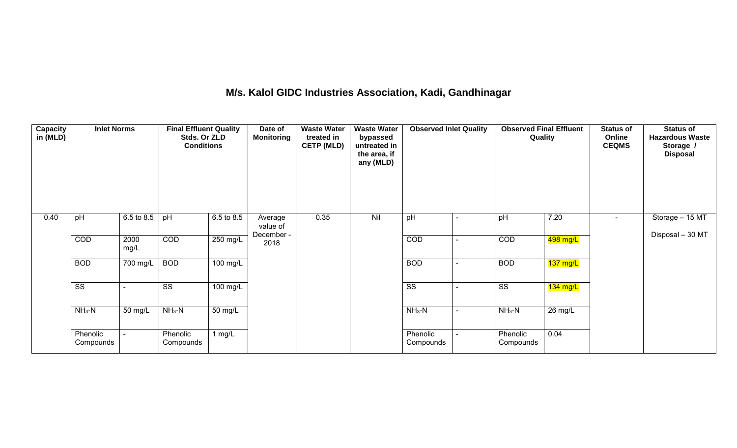#### **M/s. Kalol GIDC Industries Association, Kadi, Gandhinagar**

| <b>Capacity</b><br>in (MLD) | <b>Inlet Norms</b>     |              | <b>Final Effluent Quality</b><br>Stds. Or ZLD<br><b>Conditions</b> |                       | Date of<br><b>Monitoring</b> | <b>Waste Water</b><br>treated in<br><b>CETP (MLD)</b><br>0.35 | <b>Waste Water</b><br>bypassed<br>untreated in<br>the area, if<br>any (MLD)<br>Nil | <b>Observed Inlet Quality</b> |  | <b>Observed Final Effluent</b><br>Quality |                    | <b>Status of</b><br>Online<br><b>CEQMS</b> | <b>Status of</b><br><b>Hazardous Waste</b><br>Storage /<br><b>Disposal</b> |
|-----------------------------|------------------------|--------------|--------------------------------------------------------------------|-----------------------|------------------------------|---------------------------------------------------------------|------------------------------------------------------------------------------------|-------------------------------|--|-------------------------------------------|--------------------|--------------------------------------------|----------------------------------------------------------------------------|
| 0.40                        | pH                     | 6.5 to 8.5   | pH                                                                 | 6.5 to 8.5            | Average<br>value of          |                                                               |                                                                                    | pH                            |  | pH                                        | 7.20               | $\blacksquare$                             | Storage - 15 MT                                                            |
|                             | COD                    | 2000<br>mg/L | COD                                                                | $250$ mg/L            | December -<br>2018           |                                                               |                                                                                    | COD                           |  | COD                                       | 498 mg/L           |                                            | Disposal - 30 MT                                                           |
|                             | <b>BOD</b>             | 700 mg/L     | <b>BOD</b>                                                         | $\overline{100}$ mg/L |                              |                                                               |                                                                                    | <b>BOD</b>                    |  | <b>BOD</b>                                | $137 \text{ mg/L}$ |                                            |                                                                            |
|                             | $\overline{\text{ss}}$ |              | $\overline{\text{ss}}$                                             | 100 mg/L              |                              |                                                               |                                                                                    | $\overline{\text{ss}}$        |  | $\overline{\text{ss}}$                    | $134$ mg/L         |                                            |                                                                            |
|                             | $NH3-N$                | 50 mg/L      | $NH3-N$                                                            | 50 mg/L               |                              |                                                               |                                                                                    | $NH_3-N$                      |  | $NH3-N$                                   | 26 mg/L            |                                            |                                                                            |
|                             | Phenolic<br>Compounds  |              | Phenolic<br>Compounds                                              | 1 $mg/L$              |                              |                                                               |                                                                                    | Phenolic<br>Compounds         |  | Phenolic<br>Compounds                     | 0.04               |                                            |                                                                            |